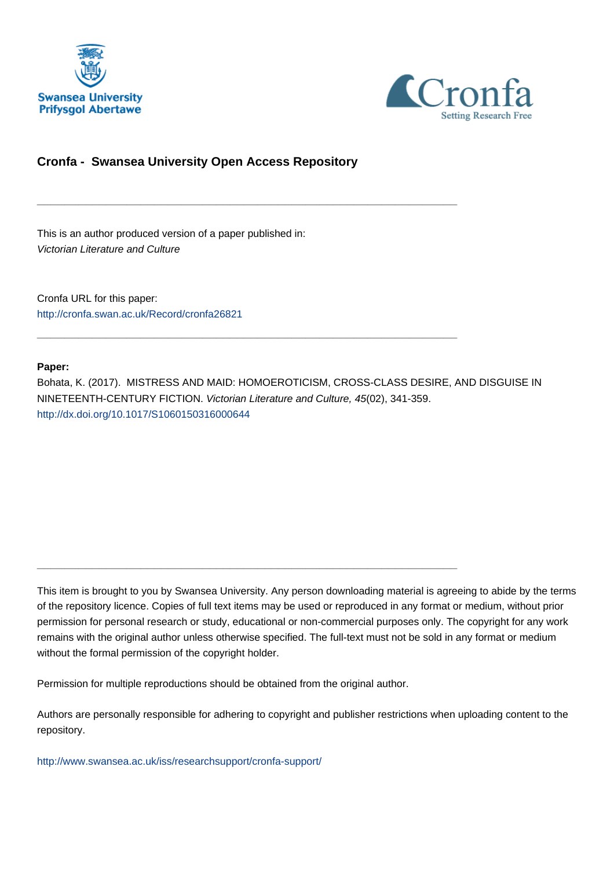



# **Cronfa - Swansea University Open Access Repository**

\_\_\_\_\_\_\_\_\_\_\_\_\_\_\_\_\_\_\_\_\_\_\_\_\_\_\_\_\_\_\_\_\_\_\_\_\_\_\_\_\_\_\_\_\_\_\_\_\_\_\_\_\_\_\_\_\_\_\_\_\_

\_\_\_\_\_\_\_\_\_\_\_\_\_\_\_\_\_\_\_\_\_\_\_\_\_\_\_\_\_\_\_\_\_\_\_\_\_\_\_\_\_\_\_\_\_\_\_\_\_\_\_\_\_\_\_\_\_\_\_\_\_

\_\_\_\_\_\_\_\_\_\_\_\_\_\_\_\_\_\_\_\_\_\_\_\_\_\_\_\_\_\_\_\_\_\_\_\_\_\_\_\_\_\_\_\_\_\_\_\_\_\_\_\_\_\_\_\_\_\_\_\_\_

This is an author produced version of a paper published in: Victorian Literature and Culture

Cronfa URL for this paper: <http://cronfa.swan.ac.uk/Record/cronfa26821>

### **Paper:**

Bohata, K. (2017). MISTRESS AND MAID: HOMOEROTICISM, CROSS-CLASS DESIRE, AND DISGUISE IN NINETEENTH-CENTURY FICTION. Victorian Literature and Culture, 45(02), 341-359. <http://dx.doi.org/10.1017/S1060150316000644>

This item is brought to you by Swansea University. Any person downloading material is agreeing to abide by the terms of the repository licence. Copies of full text items may be used or reproduced in any format or medium, without prior permission for personal research or study, educational or non-commercial purposes only. The copyright for any work remains with the original author unless otherwise specified. The full-text must not be sold in any format or medium without the formal permission of the copyright holder.

Permission for multiple reproductions should be obtained from the original author.

Authors are personally responsible for adhering to copyright and publisher restrictions when uploading content to the repository.

[http://www.swansea.ac.uk/iss/researchsupport/cronfa-support/](http://www.swansea.ac.uk/iss/researchsupport/cronfa-support/ )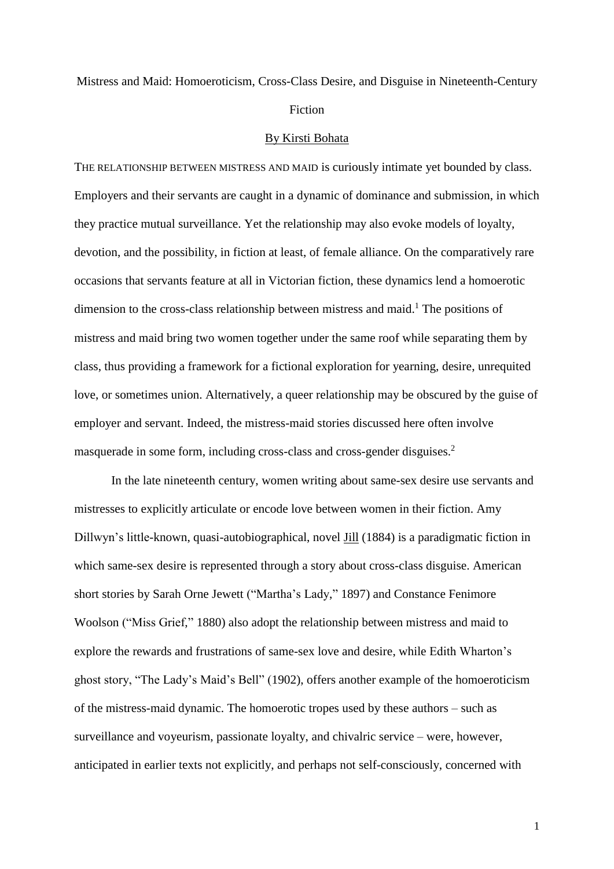# Mistress and Maid: Homoeroticism, Cross-Class Desire, and Disguise in Nineteenth-Century

# Fiction

#### By Kirsti Bohata

THE RELATIONSHIP BETWEEN MISTRESS AND MAID is curiously intimate yet bounded by class. Employers and their servants are caught in a dynamic of dominance and submission, in which they practice mutual surveillance. Yet the relationship may also evoke models of loyalty, devotion, and the possibility, in fiction at least, of female alliance. On the comparatively rare occasions that servants feature at all in Victorian fiction, these dynamics lend a homoerotic dimension to the cross-class relationship between mistress and maid.<sup>1</sup> The positions of mistress and maid bring two women together under the same roof while separating them by class, thus providing a framework for a fictional exploration for yearning, desire, unrequited love, or sometimes union. Alternatively, a queer relationship may be obscured by the guise of employer and servant. Indeed, the mistress-maid stories discussed here often involve masquerade in some form, including cross-class and cross-gender disguises.<sup>2</sup>

In the late nineteenth century, women writing about same-sex desire use servants and mistresses to explicitly articulate or encode love between women in their fiction. Amy Dillwyn's little-known, quasi-autobiographical, novel Jill (1884) is a paradigmatic fiction in which same-sex desire is represented through a story about cross-class disguise. American short stories by Sarah Orne Jewett ("Martha's Lady," 1897) and Constance Fenimore Woolson ("Miss Grief," 1880) also adopt the relationship between mistress and maid to explore the rewards and frustrations of same-sex love and desire, while Edith Wharton's ghost story, "The Lady's Maid's Bell" (1902), offers another example of the homoeroticism of the mistress-maid dynamic. The homoerotic tropes used by these authors – such as surveillance and voyeurism, passionate loyalty, and chivalric service – were, however, anticipated in earlier texts not explicitly, and perhaps not self-consciously, concerned with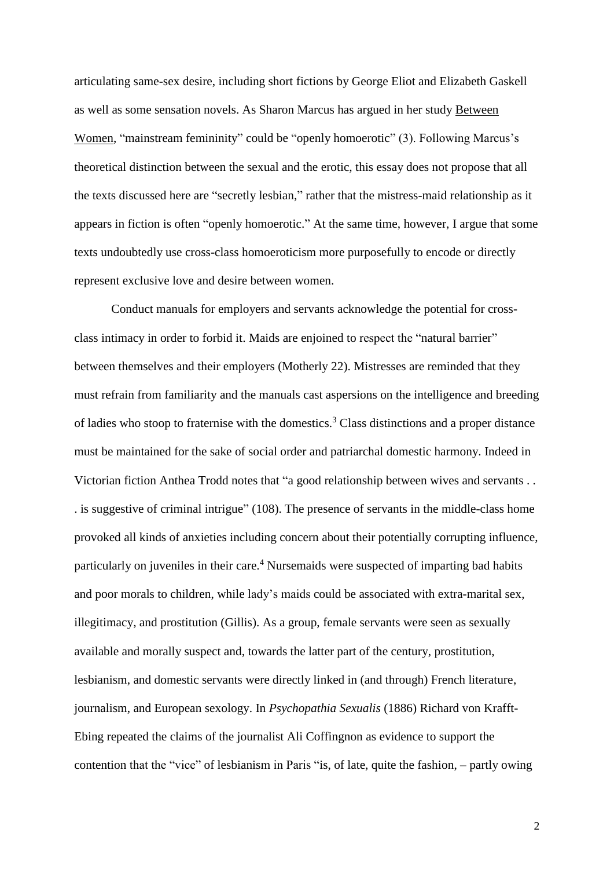articulating same-sex desire, including short fictions by George Eliot and Elizabeth Gaskell as well as some sensation novels. As Sharon Marcus has argued in her study Between Women, "mainstream femininity" could be "openly homoerotic" (3). Following Marcus's theoretical distinction between the sexual and the erotic, this essay does not propose that all the texts discussed here are "secretly lesbian," rather that the mistress-maid relationship as it appears in fiction is often "openly homoerotic." At the same time, however, I argue that some texts undoubtedly use cross-class homoeroticism more purposefully to encode or directly represent exclusive love and desire between women.

Conduct manuals for employers and servants acknowledge the potential for crossclass intimacy in order to forbid it. Maids are enjoined to respect the "natural barrier" between themselves and their employers (Motherly 22). Mistresses are reminded that they must refrain from familiarity and the manuals cast aspersions on the intelligence and breeding of ladies who stoop to fraternise with the domestics.<sup>3</sup> Class distinctions and a proper distance must be maintained for the sake of social order and patriarchal domestic harmony. Indeed in Victorian fiction Anthea Trodd notes that "a good relationship between wives and servants . . . is suggestive of criminal intrigue" (108). The presence of servants in the middle-class home provoked all kinds of anxieties including concern about their potentially corrupting influence, particularly on juveniles in their care.<sup>4</sup> Nursemaids were suspected of imparting bad habits and poor morals to children, while lady's maids could be associated with extra-marital sex, illegitimacy, and prostitution (Gillis). As a group, female servants were seen as sexually available and morally suspect and, towards the latter part of the century, prostitution, lesbianism, and domestic servants were directly linked in (and through) French literature, journalism, and European sexology. In *Psychopathia Sexualis* (1886) Richard von Krafft-Ebing repeated the claims of the journalist Ali Coffingnon as evidence to support the contention that the "vice" of lesbianism in Paris "is, of late, quite the fashion, – partly owing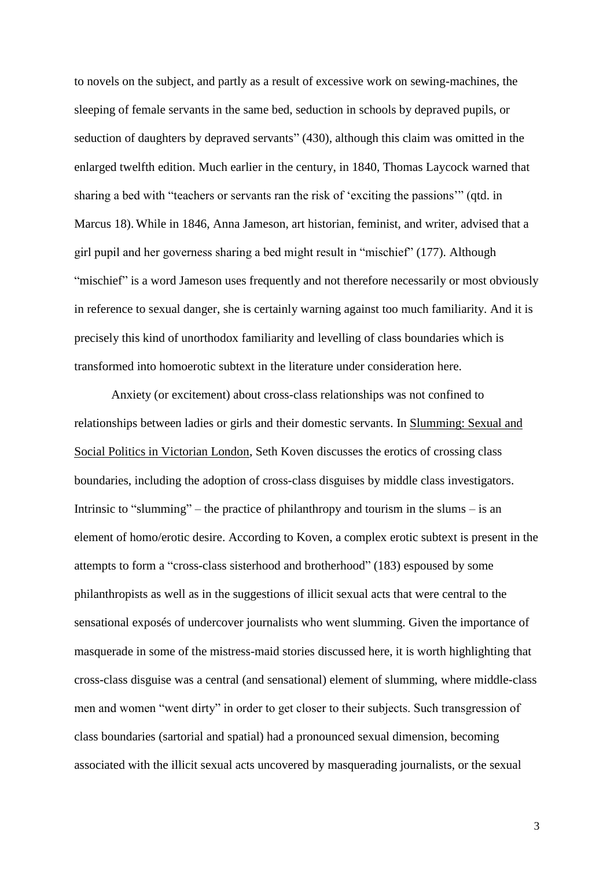to novels on the subject, and partly as a result of excessive work on sewing-machines, the sleeping of female servants in the same bed, seduction in schools by depraved pupils, or seduction of daughters by depraved servants" (430), although this claim was omitted in the enlarged twelfth edition. Much earlier in the century, in 1840, Thomas Laycock warned that sharing a bed with "teachers or servants ran the risk of 'exciting the passions'" (qtd. in Marcus 18). While in 1846, Anna Jameson, art historian, feminist, and writer, advised that a girl pupil and her governess sharing a bed might result in "mischief" (177). Although "mischief" is a word Jameson uses frequently and not therefore necessarily or most obviously in reference to sexual danger, she is certainly warning against too much familiarity. And it is precisely this kind of unorthodox familiarity and levelling of class boundaries which is transformed into homoerotic subtext in the literature under consideration here.

Anxiety (or excitement) about cross-class relationships was not confined to relationships between ladies or girls and their domestic servants. In Slumming: Sexual and Social Politics in Victorian London, Seth Koven discusses the erotics of crossing class boundaries, including the adoption of cross-class disguises by middle class investigators. Intrinsic to "slumming" – the practice of philanthropy and tourism in the slums – is an element of homo/erotic desire. According to Koven, a complex erotic subtext is present in the attempts to form a "cross-class sisterhood and brotherhood" (183) espoused by some philanthropists as well as in the suggestions of illicit sexual acts that were central to the sensational exposés of undercover journalists who went slumming. Given the importance of masquerade in some of the mistress-maid stories discussed here, it is worth highlighting that cross-class disguise was a central (and sensational) element of slumming, where middle-class men and women "went dirty" in order to get closer to their subjects. Such transgression of class boundaries (sartorial and spatial) had a pronounced sexual dimension, becoming associated with the illicit sexual acts uncovered by masquerading journalists, or the sexual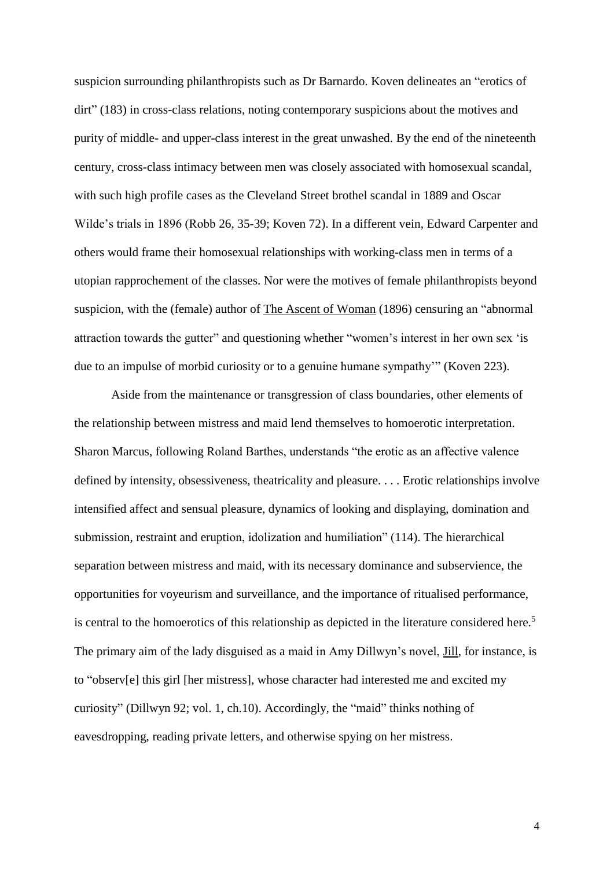suspicion surrounding philanthropists such as Dr Barnardo. Koven delineates an "erotics of dirt" (183) in cross-class relations, noting contemporary suspicions about the motives and purity of middle- and upper-class interest in the great unwashed. By the end of the nineteenth century, cross-class intimacy between men was closely associated with homosexual scandal, with such high profile cases as the Cleveland Street brothel scandal in 1889 and Oscar Wilde's trials in 1896 (Robb 26, 35-39; Koven 72). In a different vein, Edward Carpenter and others would frame their homosexual relationships with working-class men in terms of a utopian rapprochement of the classes. Nor were the motives of female philanthropists beyond suspicion, with the (female) author of The Ascent of Woman (1896) censuring an "abnormal attraction towards the gutter" and questioning whether "women's interest in her own sex 'is due to an impulse of morbid curiosity or to a genuine humane sympathy'" (Koven 223).

Aside from the maintenance or transgression of class boundaries, other elements of the relationship between mistress and maid lend themselves to homoerotic interpretation. Sharon Marcus, following Roland Barthes, understands "the erotic as an affective valence defined by intensity, obsessiveness, theatricality and pleasure. . . . Erotic relationships involve intensified affect and sensual pleasure, dynamics of looking and displaying, domination and submission, restraint and eruption, idolization and humiliation" (114). The hierarchical separation between mistress and maid, with its necessary dominance and subservience, the opportunities for voyeurism and surveillance, and the importance of ritualised performance, is central to the homoerotics of this relationship as depicted in the literature considered here.<sup>5</sup> The primary aim of the lady disguised as a maid in Amy Dillwyn's novel, Jill, for instance, is to "observ[e] this girl [her mistress], whose character had interested me and excited my curiosity" (Dillwyn 92; vol. 1, ch.10). Accordingly, the "maid" thinks nothing of eavesdropping, reading private letters, and otherwise spying on her mistress.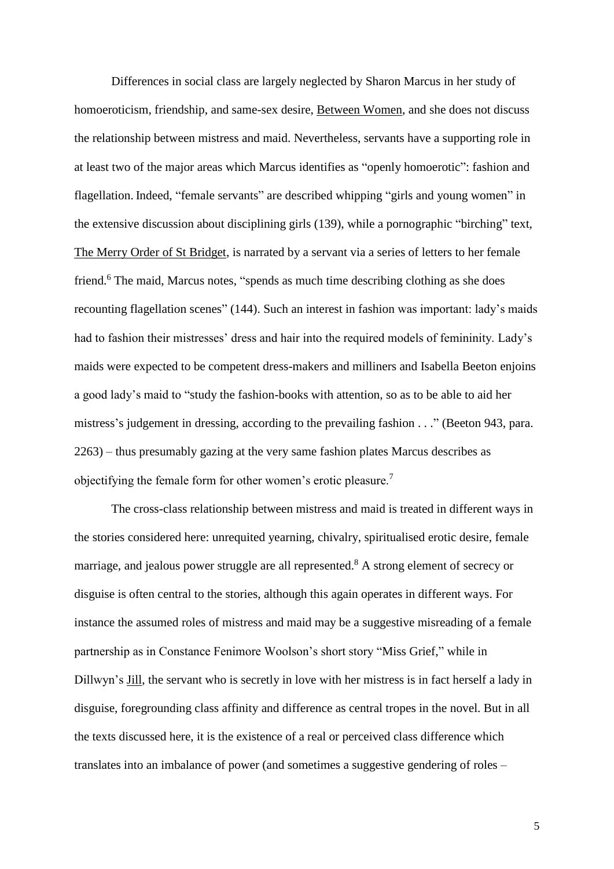Differences in social class are largely neglected by Sharon Marcus in her study of homoeroticism, friendship, and same-sex desire, Between Women, and she does not discuss the relationship between mistress and maid. Nevertheless, servants have a supporting role in at least two of the major areas which Marcus identifies as "openly homoerotic": fashion and flagellation. Indeed, "female servants" are described whipping "girls and young women" in the extensive discussion about disciplining girls (139), while a pornographic "birching" text, The Merry Order of St Bridget, is narrated by a servant via a series of letters to her female friend.<sup>6</sup> The maid, Marcus notes, "spends as much time describing clothing as she does recounting flagellation scenes" (144). Such an interest in fashion was important: lady's maids had to fashion their mistresses' dress and hair into the required models of femininity. Lady's maids were expected to be competent dress-makers and milliners and Isabella Beeton enjoins a good lady's maid to "study the fashion-books with attention, so as to be able to aid her mistress's judgement in dressing, according to the prevailing fashion . . ." (Beeton 943, para. 2263) – thus presumably gazing at the very same fashion plates Marcus describes as objectifying the female form for other women's erotic pleasure.<sup>7</sup>

The cross-class relationship between mistress and maid is treated in different ways in the stories considered here: unrequited yearning, chivalry, spiritualised erotic desire, female marriage, and jealous power struggle are all represented.<sup>8</sup> A strong element of secrecy or disguise is often central to the stories, although this again operates in different ways. For instance the assumed roles of mistress and maid may be a suggestive misreading of a female partnership as in Constance Fenimore Woolson's short story "Miss Grief," while in Dillwyn's Jill, the servant who is secretly in love with her mistress is in fact herself a lady in disguise, foregrounding class affinity and difference as central tropes in the novel. But in all the texts discussed here, it is the existence of a real or perceived class difference which translates into an imbalance of power (and sometimes a suggestive gendering of roles –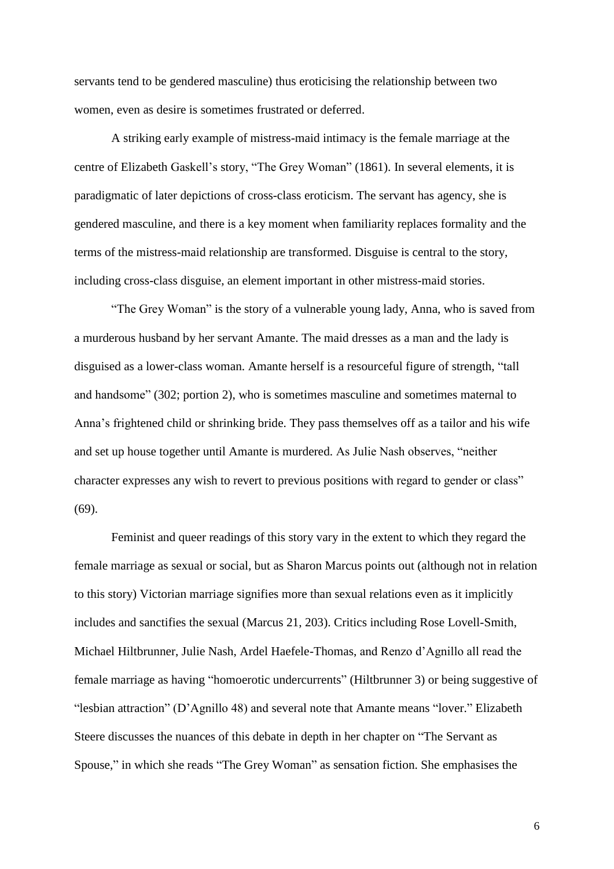servants tend to be gendered masculine) thus eroticising the relationship between two women, even as desire is sometimes frustrated or deferred.

A striking early example of mistress-maid intimacy is the female marriage at the centre of Elizabeth Gaskell's story, "The Grey Woman" (1861). In several elements, it is paradigmatic of later depictions of cross-class eroticism. The servant has agency, she is gendered masculine, and there is a key moment when familiarity replaces formality and the terms of the mistress-maid relationship are transformed. Disguise is central to the story, including cross-class disguise, an element important in other mistress-maid stories.

"The Grey Woman" is the story of a vulnerable young lady, Anna, who is saved from a murderous husband by her servant Amante. The maid dresses as a man and the lady is disguised as a lower-class woman. Amante herself is a resourceful figure of strength, "tall and handsome" (302; portion 2), who is sometimes masculine and sometimes maternal to Anna's frightened child or shrinking bride. They pass themselves off as a tailor and his wife and set up house together until Amante is murdered. As Julie Nash observes, "neither character expresses any wish to revert to previous positions with regard to gender or class" (69).

Feminist and queer readings of this story vary in the extent to which they regard the female marriage as sexual or social, but as Sharon Marcus points out (although not in relation to this story) Victorian marriage signifies more than sexual relations even as it implicitly includes and sanctifies the sexual (Marcus 21, 203). Critics including Rose Lovell-Smith, Michael Hiltbrunner, Julie Nash, Ardel Haefele-Thomas, and Renzo d'Agnillo all read the female marriage as having "homoerotic undercurrents" (Hiltbrunner 3) or being suggestive of "lesbian attraction" (D'Agnillo 48) and several note that Amante means "lover." Elizabeth Steere discusses the nuances of this debate in depth in her chapter on "The Servant as Spouse," in which she reads "The Grey Woman" as sensation fiction. She emphasises the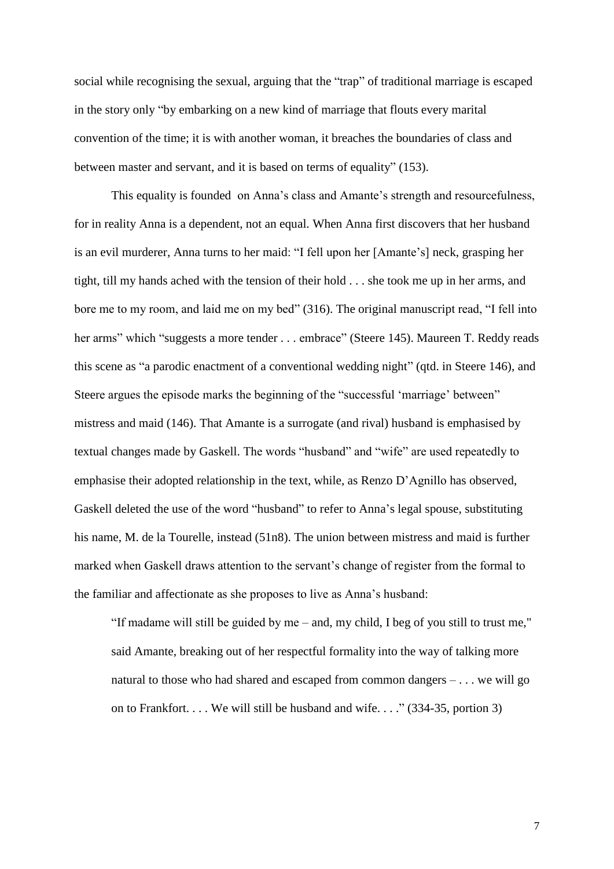social while recognising the sexual, arguing that the "trap" of traditional marriage is escaped in the story only "by embarking on a new kind of marriage that flouts every marital convention of the time; it is with another woman, it breaches the boundaries of class and between master and servant, and it is based on terms of equality" (153).

This equality is founded on Anna's class and Amante's strength and resourcefulness, for in reality Anna is a dependent, not an equal. When Anna first discovers that her husband is an evil murderer, Anna turns to her maid: "I fell upon her [Amante's] neck, grasping her tight, till my hands ached with the tension of their hold . . . she took me up in her arms, and bore me to my room, and laid me on my bed" (316). The original manuscript read, "I fell into her arms" which "suggests a more tender . . . embrace" (Steere 145). Maureen T. Reddy reads this scene as "a parodic enactment of a conventional wedding night" (qtd. in Steere 146), and Steere argues the episode marks the beginning of the "successful 'marriage' between" mistress and maid (146). That Amante is a surrogate (and rival) husband is emphasised by textual changes made by Gaskell. The words "husband" and "wife" are used repeatedly to emphasise their adopted relationship in the text, while, as Renzo D'Agnillo has observed, Gaskell deleted the use of the word "husband" to refer to Anna's legal spouse, substituting his name, M. de la Tourelle, instead (51n8). The union between mistress and maid is further marked when Gaskell draws attention to the servant's change of register from the formal to the familiar and affectionate as she proposes to live as Anna's husband:

"If madame will still be guided by me – and, my child, I beg of you still to trust me," said Amante, breaking out of her respectful formality into the way of talking more natural to those who had shared and escaped from common dangers – . . . we will go on to Frankfort. . . . We will still be husband and wife. . . ." (334-35, portion 3)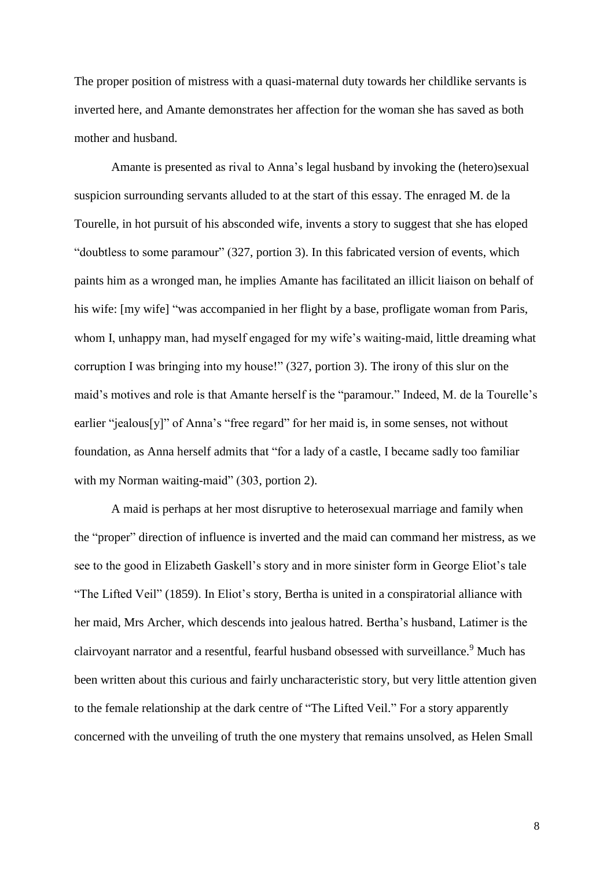The proper position of mistress with a quasi-maternal duty towards her childlike servants is inverted here, and Amante demonstrates her affection for the woman she has saved as both mother and husband.

Amante is presented as rival to Anna's legal husband by invoking the (hetero)sexual suspicion surrounding servants alluded to at the start of this essay. The enraged M. de la Tourelle, in hot pursuit of his absconded wife, invents a story to suggest that she has eloped "doubtless to some paramour" (327, portion 3). In this fabricated version of events, which paints him as a wronged man, he implies Amante has facilitated an illicit liaison on behalf of his wife: [my wife] "was accompanied in her flight by a base, profligate woman from Paris, whom I, unhappy man, had myself engaged for my wife's waiting-maid, little dreaming what corruption I was bringing into my house!" (327, portion 3). The irony of this slur on the maid's motives and role is that Amante herself is the "paramour." Indeed, M. de la Tourelle's earlier "jealous[y]" of Anna's "free regard" for her maid is, in some senses, not without foundation, as Anna herself admits that "for a lady of a castle, I became sadly too familiar with my Norman waiting-maid" (303, portion 2).

A maid is perhaps at her most disruptive to heterosexual marriage and family when the "proper" direction of influence is inverted and the maid can command her mistress, as we see to the good in Elizabeth Gaskell's story and in more sinister form in George Eliot's tale "The Lifted Veil" (1859). In Eliot's story, Bertha is united in a conspiratorial alliance with her maid, Mrs Archer, which descends into jealous hatred. Bertha's husband, Latimer is the clairvoyant narrator and a resentful, fearful husband obsessed with surveillance.<sup>9</sup> Much has been written about this curious and fairly uncharacteristic story, but very little attention given to the female relationship at the dark centre of "The Lifted Veil." For a story apparently concerned with the unveiling of truth the one mystery that remains unsolved, as Helen Small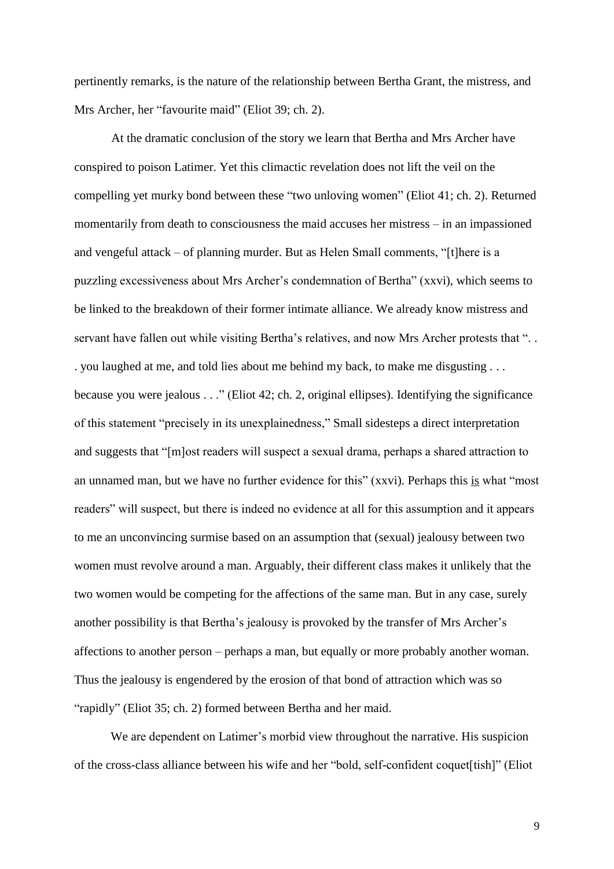pertinently remarks, is the nature of the relationship between Bertha Grant, the mistress, and Mrs Archer, her "favourite maid" (Eliot 39; ch. 2).

At the dramatic conclusion of the story we learn that Bertha and Mrs Archer have conspired to poison Latimer. Yet this climactic revelation does not lift the veil on the compelling yet murky bond between these "two unloving women" (Eliot 41; ch. 2). Returned momentarily from death to consciousness the maid accuses her mistress – in an impassioned and vengeful attack – of planning murder. But as Helen Small comments, "[t]here is a puzzling excessiveness about Mrs Archer's condemnation of Bertha" (xxvi), which seems to be linked to the breakdown of their former intimate alliance. We already know mistress and servant have fallen out while visiting Bertha's relatives, and now Mrs Archer protests that "... . you laughed at me, and told lies about me behind my back, to make me disgusting . . . because you were jealous . . ." (Eliot 42; ch. 2, original ellipses). Identifying the significance of this statement "precisely in its unexplainedness," Small sidesteps a direct interpretation and suggests that "[m]ost readers will suspect a sexual drama, perhaps a shared attraction to an unnamed man, but we have no further evidence for this" (xxvi). Perhaps this is what "most readers" will suspect, but there is indeed no evidence at all for this assumption and it appears to me an unconvincing surmise based on an assumption that (sexual) jealousy between two women must revolve around a man. Arguably, their different class makes it unlikely that the two women would be competing for the affections of the same man. But in any case, surely another possibility is that Bertha's jealousy is provoked by the transfer of Mrs Archer's affections to another person – perhaps a man, but equally or more probably another woman. Thus the jealousy is engendered by the erosion of that bond of attraction which was so "rapidly" (Eliot 35; ch. 2) formed between Bertha and her maid.

We are dependent on Latimer's morbid view throughout the narrative. His suspicion of the cross-class alliance between his wife and her "bold, self-confident coquet[tish]" (Eliot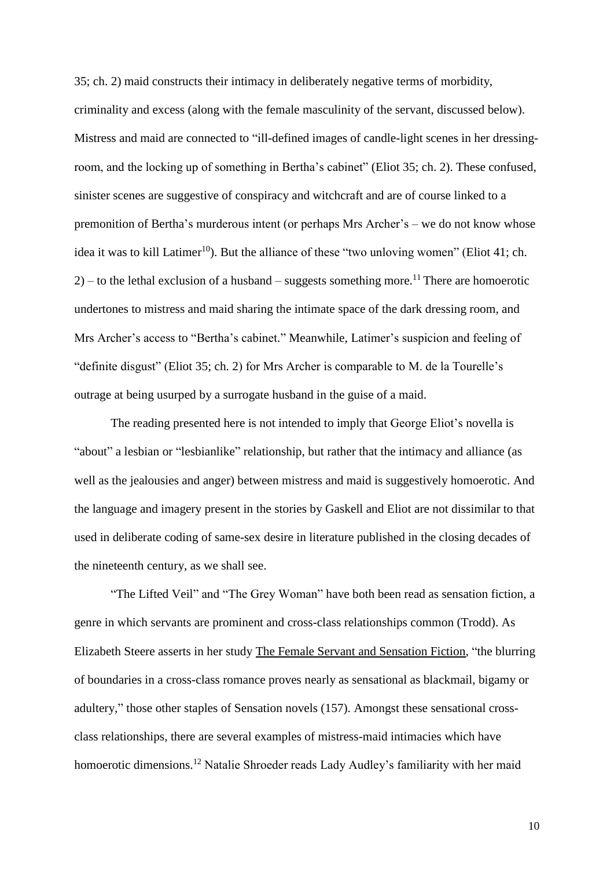35; ch. 2) maid constructs their intimacy in deliberately negative terms of morbidity, criminality and excess (along with the female masculinity of the servant, discussed below). Mistress and maid are connected to "ill-defined images of candle-light scenes in her dressingroom, and the locking up of something in Bertha's cabinet" (Eliot 35; ch. 2). These confused, sinister scenes are suggestive of conspiracy and witchcraft and are of course linked to a premonition of Bertha's murderous intent (or perhaps Mrs Archer's – we do not know whose idea it was to kill Latimer<sup>10</sup>). But the alliance of these "two unloving women" (Eliot 41; ch.  $2$ ) – to the lethal exclusion of a husband – suggests something more.<sup>11</sup> There are homoerotic undertones to mistress and maid sharing the intimate space of the dark dressing room, and Mrs Archer's access to "Bertha's cabinet." Meanwhile, Latimer's suspicion and feeling of "definite disgust" (Eliot 35; ch. 2) for Mrs Archer is comparable to M. de la Tourelle's outrage at being usurped by a surrogate husband in the guise of a maid.

The reading presented here is not intended to imply that George Eliot's novella is "about" a lesbian or "lesbianlike" relationship, but rather that the intimacy and alliance (as well as the jealousies and anger) between mistress and maid is suggestively homoerotic. And the language and imagery present in the stories by Gaskell and Eliot are not dissimilar to that used in deliberate coding of same-sex desire in literature published in the closing decades of the nineteenth century, as we shall see.

"The Lifted Veil" and "The Grey Woman" have both been read as sensation fiction, a genre in which servants are prominent and cross-class relationships common (Trodd). As Elizabeth Steere asserts in her study The Female Servant and Sensation Fiction, "the blurring of boundaries in a cross-class romance proves nearly as sensational as blackmail, bigamy or adultery," those other staples of Sensation novels (157). Amongst these sensational crossclass relationships, there are several examples of mistress-maid intimacies which have homoerotic dimensions.<sup>12</sup> Natalie Shroeder reads Lady Audley's familiarity with her maid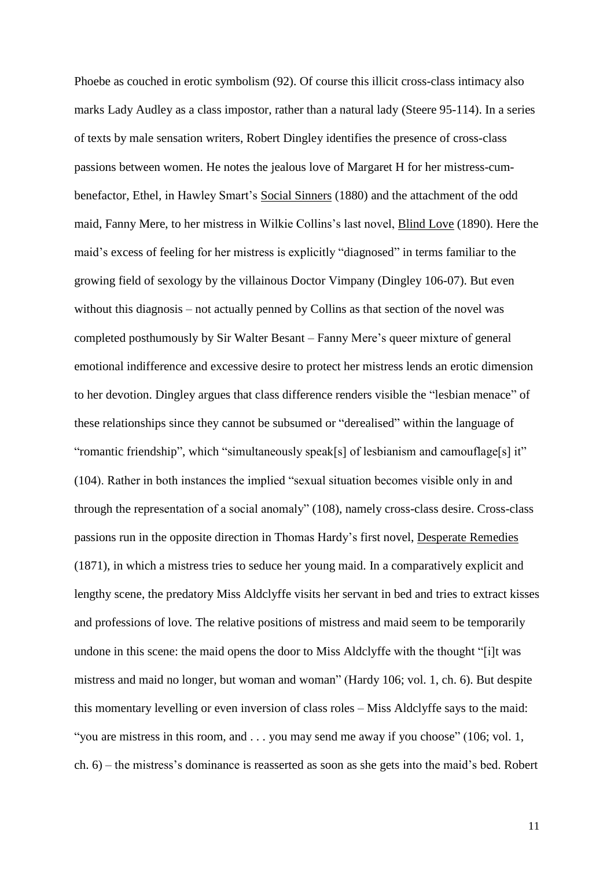Phoebe as couched in erotic symbolism (92). Of course this illicit cross-class intimacy also marks Lady Audley as a class impostor, rather than a natural lady (Steere 95-114). In a series of texts by male sensation writers, Robert Dingley identifies the presence of cross-class passions between women. He notes the jealous love of Margaret H for her mistress-cumbenefactor, Ethel, in Hawley Smart's Social Sinners (1880) and the attachment of the odd maid, Fanny Mere, to her mistress in Wilkie Collins's last novel, Blind Love (1890). Here the maid's excess of feeling for her mistress is explicitly "diagnosed" in terms familiar to the growing field of sexology by the villainous Doctor Vimpany (Dingley 106-07). But even without this diagnosis – not actually penned by Collins as that section of the novel was completed posthumously by Sir Walter Besant – Fanny Mere's queer mixture of general emotional indifference and excessive desire to protect her mistress lends an erotic dimension to her devotion. Dingley argues that class difference renders visible the "lesbian menace" of these relationships since they cannot be subsumed or "derealised" within the language of "romantic friendship", which "simultaneously speak[s] of lesbianism and camouflage[s] it" (104). Rather in both instances the implied "sexual situation becomes visible only in and through the representation of a social anomaly" (108), namely cross-class desire. Cross-class passions run in the opposite direction in Thomas Hardy's first novel, Desperate Remedies (1871), in which a mistress tries to seduce her young maid. In a comparatively explicit and lengthy scene, the predatory Miss Aldclyffe visits her servant in bed and tries to extract kisses and professions of love. The relative positions of mistress and maid seem to be temporarily undone in this scene: the maid opens the door to Miss Aldclyffe with the thought "[i]t was mistress and maid no longer, but woman and woman" (Hardy 106; vol. 1, ch. 6). But despite this momentary levelling or even inversion of class roles – Miss Aldclyffe says to the maid: "you are mistress in this room, and . . . you may send me away if you choose" (106; vol. 1, ch. 6) – the mistress's dominance is reasserted as soon as she gets into the maid's bed. Robert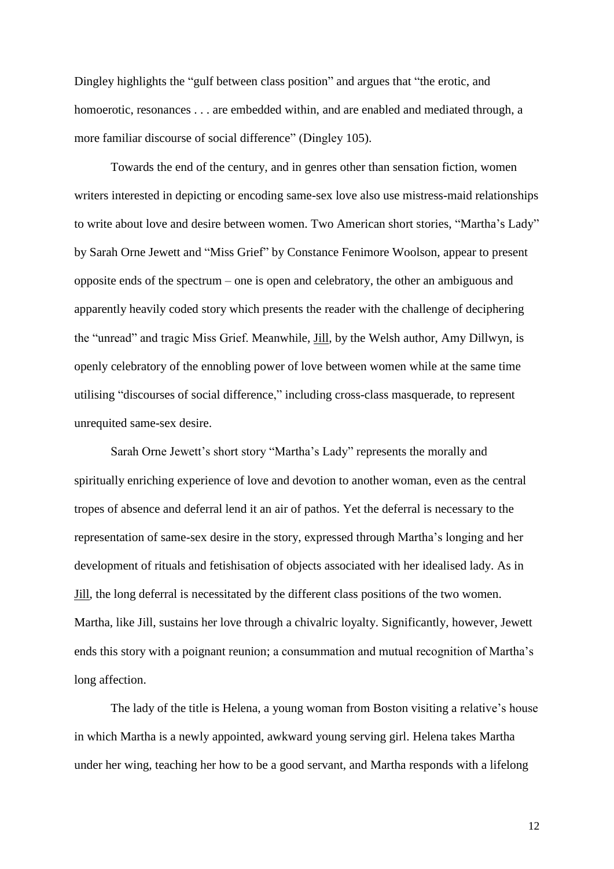Dingley highlights the "gulf between class position" and argues that "the erotic, and homoerotic, resonances . . . are embedded within, and are enabled and mediated through, a more familiar discourse of social difference" (Dingley 105).

Towards the end of the century, and in genres other than sensation fiction, women writers interested in depicting or encoding same-sex love also use mistress-maid relationships to write about love and desire between women. Two American short stories, "Martha's Lady" by Sarah Orne Jewett and "Miss Grief" by Constance Fenimore Woolson, appear to present opposite ends of the spectrum – one is open and celebratory, the other an ambiguous and apparently heavily coded story which presents the reader with the challenge of deciphering the "unread" and tragic Miss Grief. Meanwhile, Jill, by the Welsh author, Amy Dillwyn, is openly celebratory of the ennobling power of love between women while at the same time utilising "discourses of social difference," including cross-class masquerade, to represent unrequited same-sex desire.

Sarah Orne Jewett's short story "Martha's Lady" represents the morally and spiritually enriching experience of love and devotion to another woman, even as the central tropes of absence and deferral lend it an air of pathos. Yet the deferral is necessary to the representation of same-sex desire in the story, expressed through Martha's longing and her development of rituals and fetishisation of objects associated with her idealised lady. As in Jill, the long deferral is necessitated by the different class positions of the two women. Martha, like Jill, sustains her love through a chivalric loyalty. Significantly, however, Jewett ends this story with a poignant reunion; a consummation and mutual recognition of Martha's long affection.

The lady of the title is Helena, a young woman from Boston visiting a relative's house in which Martha is a newly appointed, awkward young serving girl. Helena takes Martha under her wing, teaching her how to be a good servant, and Martha responds with a lifelong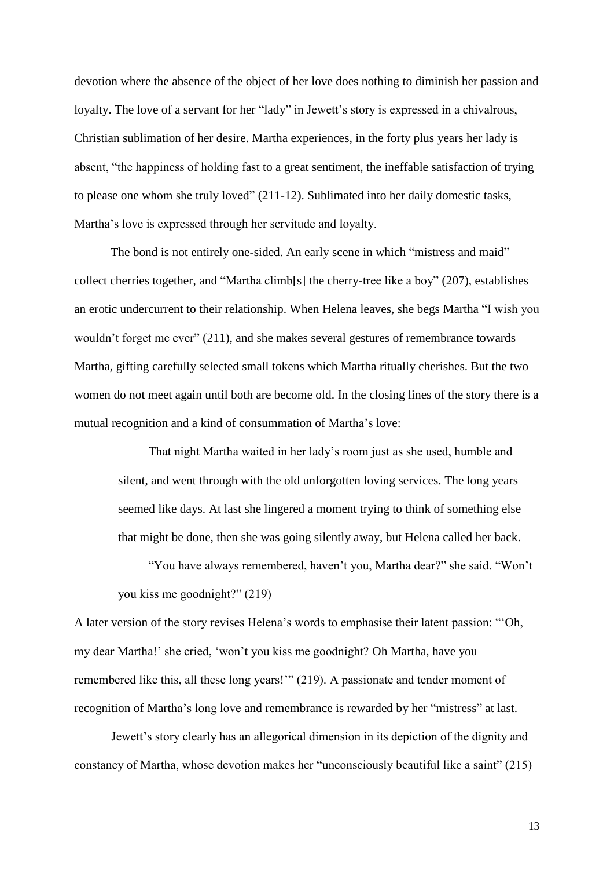devotion where the absence of the object of her love does nothing to diminish her passion and loyalty. The love of a servant for her "lady" in Jewett's story is expressed in a chivalrous, Christian sublimation of her desire. Martha experiences, in the forty plus years her lady is absent, "the happiness of holding fast to a great sentiment, the ineffable satisfaction of trying to please one whom she truly loved" (211-12). Sublimated into her daily domestic tasks, Martha's love is expressed through her servitude and loyalty.

The bond is not entirely one-sided. An early scene in which "mistress and maid" collect cherries together, and "Martha climb[s] the cherry-tree like a boy" (207), establishes an erotic undercurrent to their relationship. When Helena leaves, she begs Martha "I wish you wouldn't forget me ever" (211), and she makes several gestures of remembrance towards Martha, gifting carefully selected small tokens which Martha ritually cherishes. But the two women do not meet again until both are become old. In the closing lines of the story there is a mutual recognition and a kind of consummation of Martha's love:

That night Martha waited in her lady's room just as she used, humble and silent, and went through with the old unforgotten loving services. The long years seemed like days. At last she lingered a moment trying to think of something else that might be done, then she was going silently away, but Helena called her back.

"You have always remembered, haven't you, Martha dear?" she said. "Won't you kiss me goodnight?" (219)

A later version of the story revises Helena's words to emphasise their latent passion: "'Oh, my dear Martha!' she cried, 'won't you kiss me goodnight? Oh Martha, have you remembered like this, all these long years!'" (219). A passionate and tender moment of recognition of Martha's long love and remembrance is rewarded by her "mistress" at last.

Jewett's story clearly has an allegorical dimension in its depiction of the dignity and constancy of Martha, whose devotion makes her "unconsciously beautiful like a saint" (215)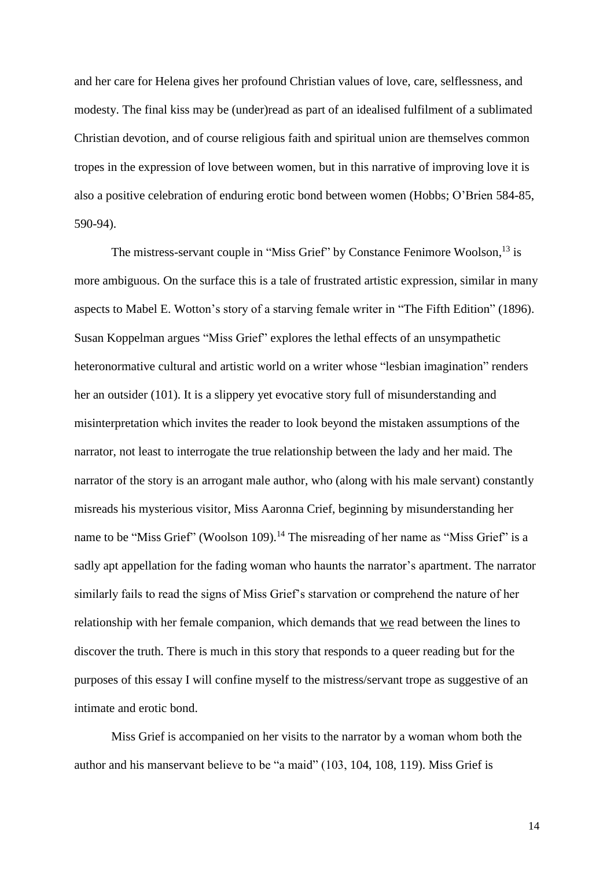and her care for Helena gives her profound Christian values of love, care, selflessness, and modesty. The final kiss may be (under)read as part of an idealised fulfilment of a sublimated Christian devotion, and of course religious faith and spiritual union are themselves common tropes in the expression of love between women, but in this narrative of improving love it is also a positive celebration of enduring erotic bond between women (Hobbs; O'Brien 584-85, 590-94).

The mistress-servant couple in "Miss Grief" by Constance Fenimore Woolson,<sup>13</sup> is more ambiguous. On the surface this is a tale of frustrated artistic expression, similar in many aspects to Mabel E. Wotton's story of a starving female writer in "The Fifth Edition" (1896). Susan Koppelman argues "Miss Grief" explores the lethal effects of an unsympathetic heteronormative cultural and artistic world on a writer whose "lesbian imagination" renders her an outsider (101). It is a slippery yet evocative story full of misunderstanding and misinterpretation which invites the reader to look beyond the mistaken assumptions of the narrator, not least to interrogate the true relationship between the lady and her maid. The narrator of the story is an arrogant male author, who (along with his male servant) constantly misreads his mysterious visitor, Miss Aaronna Crief, beginning by misunderstanding her name to be "Miss Grief" (Woolson 109).<sup>14</sup> The misreading of her name as "Miss Grief" is a sadly apt appellation for the fading woman who haunts the narrator's apartment. The narrator similarly fails to read the signs of Miss Grief's starvation or comprehend the nature of her relationship with her female companion, which demands that we read between the lines to discover the truth. There is much in this story that responds to a queer reading but for the purposes of this essay I will confine myself to the mistress/servant trope as suggestive of an intimate and erotic bond.

Miss Grief is accompanied on her visits to the narrator by a woman whom both the author and his manservant believe to be "a maid" (103, 104, 108, 119). Miss Grief is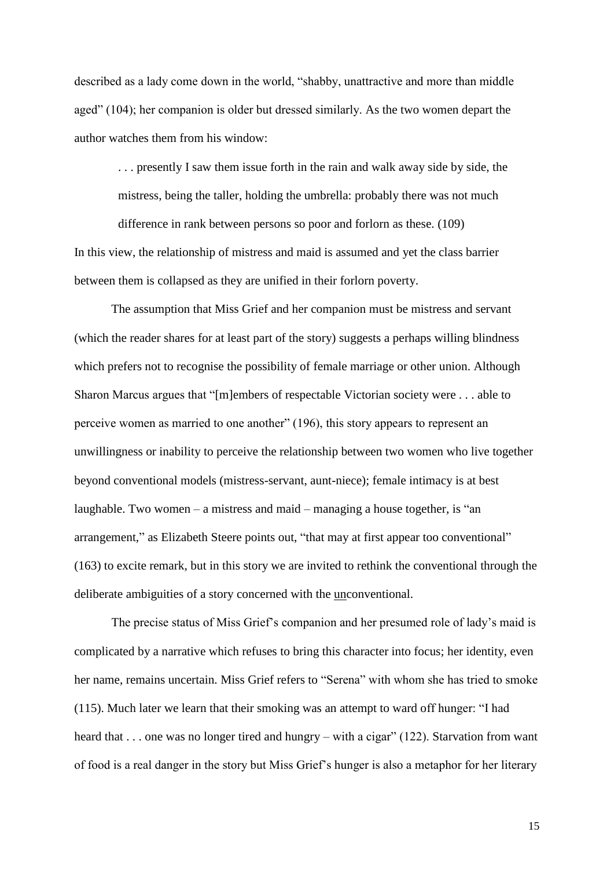described as a lady come down in the world, "shabby, unattractive and more than middle aged" (104); her companion is older but dressed similarly. As the two women depart the author watches them from his window:

. . . presently I saw them issue forth in the rain and walk away side by side, the mistress, being the taller, holding the umbrella: probably there was not much

difference in rank between persons so poor and forlorn as these. (109) In this view, the relationship of mistress and maid is assumed and yet the class barrier between them is collapsed as they are unified in their forlorn poverty.

The assumption that Miss Grief and her companion must be mistress and servant (which the reader shares for at least part of the story) suggests a perhaps willing blindness which prefers not to recognise the possibility of female marriage or other union. Although Sharon Marcus argues that "[m]embers of respectable Victorian society were . . . able to perceive women as married to one another" (196), this story appears to represent an unwillingness or inability to perceive the relationship between two women who live together beyond conventional models (mistress-servant, aunt-niece); female intimacy is at best laughable. Two women – a mistress and maid – managing a house together, is "an arrangement," as Elizabeth Steere points out, "that may at first appear too conventional" (163) to excite remark, but in this story we are invited to rethink the conventional through the deliberate ambiguities of a story concerned with the unconventional.

The precise status of Miss Grief's companion and her presumed role of lady's maid is complicated by a narrative which refuses to bring this character into focus; her identity, even her name, remains uncertain. Miss Grief refers to "Serena" with whom she has tried to smoke (115). Much later we learn that their smoking was an attempt to ward off hunger: "I had heard that . . . one was no longer tired and hungry – with a cigar" (122). Starvation from want of food is a real danger in the story but Miss Grief's hunger is also a metaphor for her literary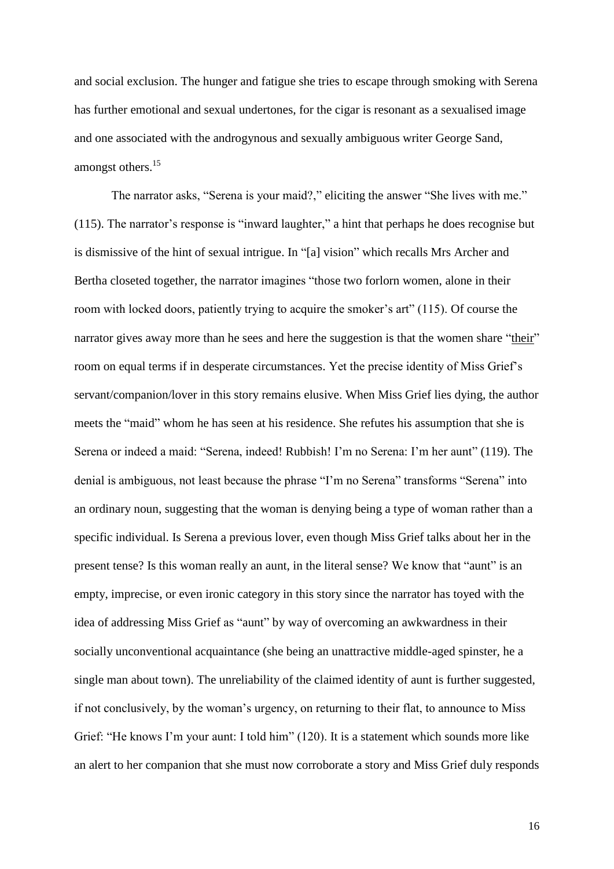and social exclusion. The hunger and fatigue she tries to escape through smoking with Serena has further emotional and sexual undertones, for the cigar is resonant as a sexualised image and one associated with the androgynous and sexually ambiguous writer George Sand, amongst others.<sup>15</sup>

The narrator asks, "Serena is your maid?," eliciting the answer "She lives with me." (115). The narrator's response is "inward laughter," a hint that perhaps he does recognise but is dismissive of the hint of sexual intrigue. In "[a] vision" which recalls Mrs Archer and Bertha closeted together, the narrator imagines "those two forlorn women, alone in their room with locked doors, patiently trying to acquire the smoker's art" (115). Of course the narrator gives away more than he sees and here the suggestion is that the women share "their" room on equal terms if in desperate circumstances. Yet the precise identity of Miss Grief's servant/companion/lover in this story remains elusive. When Miss Grief lies dying, the author meets the "maid" whom he has seen at his residence. She refutes his assumption that she is Serena or indeed a maid: "Serena, indeed! Rubbish! I'm no Serena: I'm her aunt" (119). The denial is ambiguous, not least because the phrase "I'm no Serena" transforms "Serena" into an ordinary noun, suggesting that the woman is denying being a type of woman rather than a specific individual. Is Serena a previous lover, even though Miss Grief talks about her in the present tense? Is this woman really an aunt, in the literal sense? We know that "aunt" is an empty, imprecise, or even ironic category in this story since the narrator has toyed with the idea of addressing Miss Grief as "aunt" by way of overcoming an awkwardness in their socially unconventional acquaintance (she being an unattractive middle-aged spinster, he a single man about town). The unreliability of the claimed identity of aunt is further suggested, if not conclusively, by the woman's urgency, on returning to their flat, to announce to Miss Grief: "He knows I'm your aunt: I told him" (120). It is a statement which sounds more like an alert to her companion that she must now corroborate a story and Miss Grief duly responds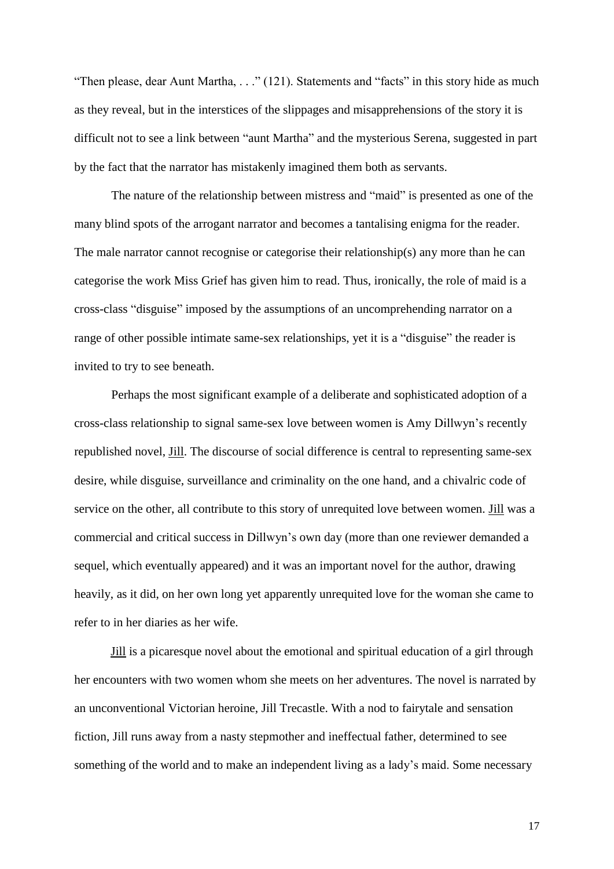"Then please, dear Aunt Martha, . . ." (121). Statements and "facts" in this story hide as much as they reveal, but in the interstices of the slippages and misapprehensions of the story it is difficult not to see a link between "aunt Martha" and the mysterious Serena, suggested in part by the fact that the narrator has mistakenly imagined them both as servants.

The nature of the relationship between mistress and "maid" is presented as one of the many blind spots of the arrogant narrator and becomes a tantalising enigma for the reader. The male narrator cannot recognise or categorise their relationship(s) any more than he can categorise the work Miss Grief has given him to read. Thus, ironically, the role of maid is a cross-class "disguise" imposed by the assumptions of an uncomprehending narrator on a range of other possible intimate same-sex relationships, yet it is a "disguise" the reader is invited to try to see beneath.

Perhaps the most significant example of a deliberate and sophisticated adoption of a cross-class relationship to signal same-sex love between women is Amy Dillwyn's recently republished novel, Jill. The discourse of social difference is central to representing same-sex desire, while disguise, surveillance and criminality on the one hand, and a chivalric code of service on the other, all contribute to this story of unrequited love between women. Jill was a commercial and critical success in Dillwyn's own day (more than one reviewer demanded a sequel, which eventually appeared) and it was an important novel for the author, drawing heavily, as it did, on her own long yet apparently unrequited love for the woman she came to refer to in her diaries as her wife.

Jill is a picaresque novel about the emotional and spiritual education of a girl through her encounters with two women whom she meets on her adventures. The novel is narrated by an unconventional Victorian heroine, Jill Trecastle. With a nod to fairytale and sensation fiction, Jill runs away from a nasty stepmother and ineffectual father, determined to see something of the world and to make an independent living as a lady's maid. Some necessary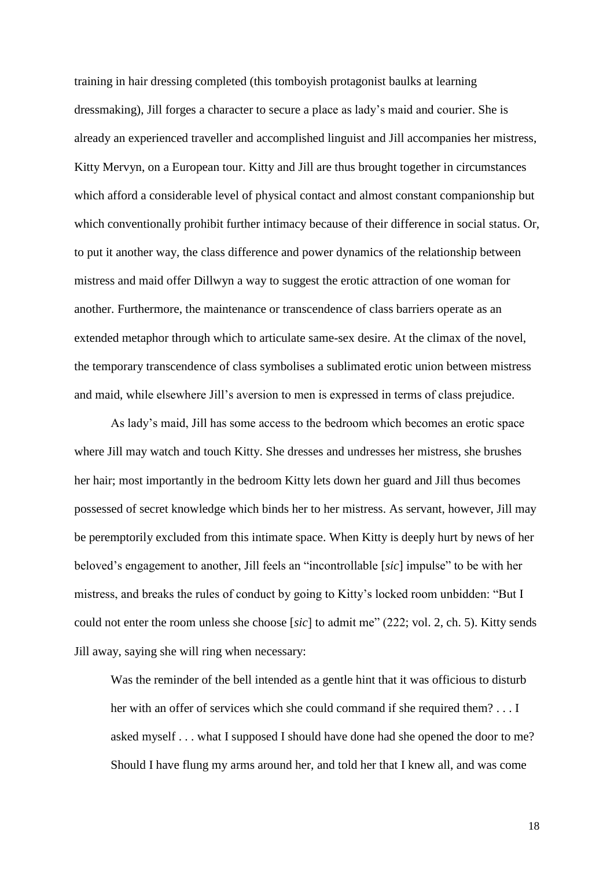training in hair dressing completed (this tomboyish protagonist baulks at learning dressmaking), Jill forges a character to secure a place as lady's maid and courier. She is already an experienced traveller and accomplished linguist and Jill accompanies her mistress, Kitty Mervyn, on a European tour. Kitty and Jill are thus brought together in circumstances which afford a considerable level of physical contact and almost constant companionship but which conventionally prohibit further intimacy because of their difference in social status. Or, to put it another way, the class difference and power dynamics of the relationship between mistress and maid offer Dillwyn a way to suggest the erotic attraction of one woman for another. Furthermore, the maintenance or transcendence of class barriers operate as an extended metaphor through which to articulate same-sex desire. At the climax of the novel, the temporary transcendence of class symbolises a sublimated erotic union between mistress and maid, while elsewhere Jill's aversion to men is expressed in terms of class prejudice.

As lady's maid, Jill has some access to the bedroom which becomes an erotic space where Jill may watch and touch Kitty. She dresses and undresses her mistress, she brushes her hair; most importantly in the bedroom Kitty lets down her guard and Jill thus becomes possessed of secret knowledge which binds her to her mistress. As servant, however, Jill may be peremptorily excluded from this intimate space. When Kitty is deeply hurt by news of her beloved's engagement to another, Jill feels an "incontrollable [*sic*] impulse" to be with her mistress, and breaks the rules of conduct by going to Kitty's locked room unbidden: "But I could not enter the room unless she choose [*sic*] to admit me" (222; vol. 2, ch. 5). Kitty sends Jill away, saying she will ring when necessary:

Was the reminder of the bell intended as a gentle hint that it was officious to disturb her with an offer of services which she could command if she required them? . . . I asked myself . . . what I supposed I should have done had she opened the door to me? Should I have flung my arms around her, and told her that I knew all, and was come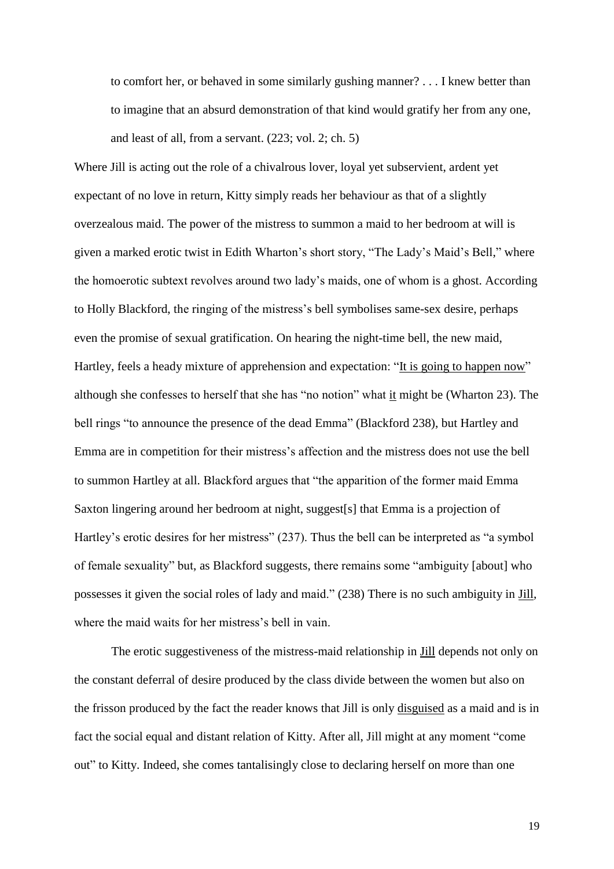to comfort her, or behaved in some similarly gushing manner? . . . I knew better than to imagine that an absurd demonstration of that kind would gratify her from any one, and least of all, from a servant. (223; vol. 2; ch. 5)

Where Jill is acting out the role of a chivalrous lover, loyal yet subservient, ardent yet expectant of no love in return, Kitty simply reads her behaviour as that of a slightly overzealous maid. The power of the mistress to summon a maid to her bedroom at will is given a marked erotic twist in Edith Wharton's short story, "The Lady's Maid's Bell," where the homoerotic subtext revolves around two lady's maids, one of whom is a ghost. According to Holly Blackford, the ringing of the mistress's bell symbolises same-sex desire, perhaps even the promise of sexual gratification. On hearing the night-time bell, the new maid, Hartley, feels a heady mixture of apprehension and expectation: "It is going to happen now" although she confesses to herself that she has "no notion" what it might be (Wharton 23). The bell rings "to announce the presence of the dead Emma" (Blackford 238), but Hartley and Emma are in competition for their mistress's affection and the mistress does not use the bell to summon Hartley at all. Blackford argues that "the apparition of the former maid Emma Saxton lingering around her bedroom at night, suggest[s] that Emma is a projection of Hartley's erotic desires for her mistress" (237). Thus the bell can be interpreted as "a symbol of female sexuality" but, as Blackford suggests, there remains some "ambiguity [about] who possesses it given the social roles of lady and maid." (238) There is no such ambiguity in Jill, where the maid waits for her mistress's bell in vain.

The erotic suggestiveness of the mistress-maid relationship in Jill depends not only on the constant deferral of desire produced by the class divide between the women but also on the frisson produced by the fact the reader knows that Jill is only disguised as a maid and is in fact the social equal and distant relation of Kitty. After all, Jill might at any moment "come out" to Kitty. Indeed, she comes tantalisingly close to declaring herself on more than one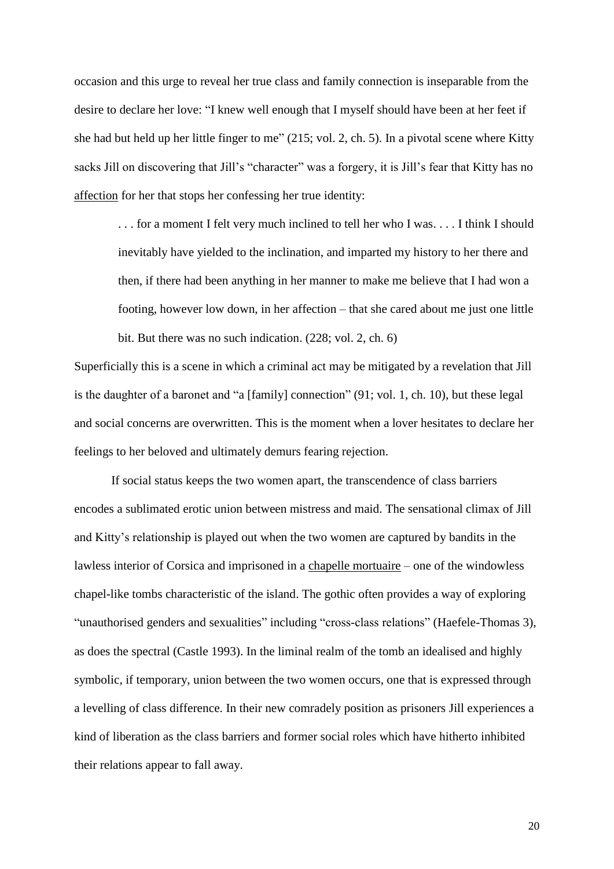occasion and this urge to reveal her true class and family connection is inseparable from the desire to declare her love: "I knew well enough that I myself should have been at her feet if she had but held up her little finger to me" (215; vol. 2, ch. 5). In a pivotal scene where Kitty sacks Jill on discovering that Jill's "character" was a forgery, it is Jill's fear that Kitty has no affection for her that stops her confessing her true identity:

. . . for a moment I felt very much inclined to tell her who I was. . . . I think I should inevitably have yielded to the inclination, and imparted my history to her there and then, if there had been anything in her manner to make me believe that I had won a footing, however low down, in her affection – that she cared about me just one little bit. But there was no such indication. (228; vol. 2, ch. 6)

Superficially this is a scene in which a criminal act may be mitigated by a revelation that Jill is the daughter of a baronet and "a [family] connection" (91; vol. 1, ch. 10), but these legal and social concerns are overwritten. This is the moment when a lover hesitates to declare her feelings to her beloved and ultimately demurs fearing rejection.

If social status keeps the two women apart, the transcendence of class barriers encodes a sublimated erotic union between mistress and maid. The sensational climax of Jill and Kitty's relationship is played out when the two women are captured by bandits in the lawless interior of Corsica and imprisoned in a chapelle mortuaire – one of the windowless chapel-like tombs characteristic of the island. The gothic often provides a way of exploring "unauthorised genders and sexualities" including "cross-class relations" (Haefele-Thomas 3), as does the spectral (Castle 1993). In the liminal realm of the tomb an idealised and highly symbolic, if temporary, union between the two women occurs, one that is expressed through a levelling of class difference. In their new comradely position as prisoners Jill experiences a kind of liberation as the class barriers and former social roles which have hitherto inhibited their relations appear to fall away.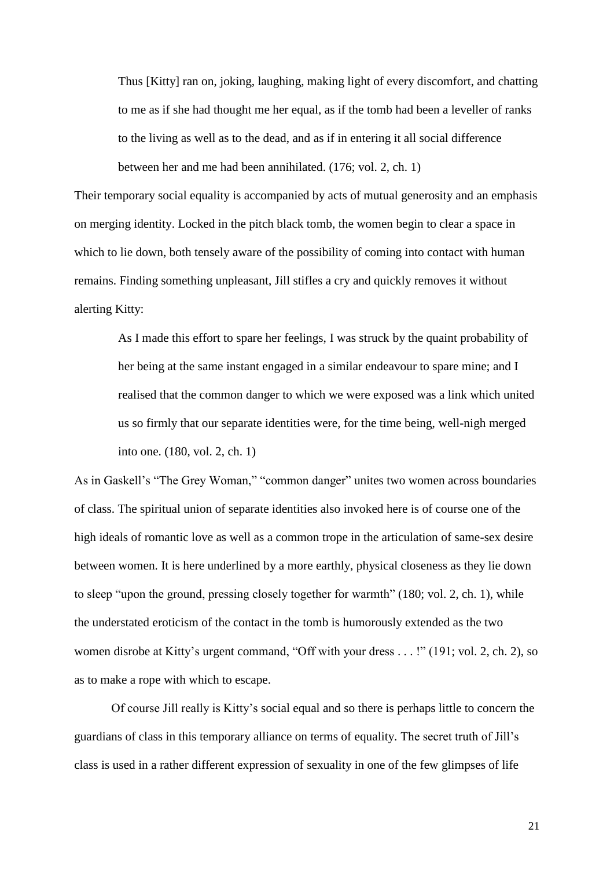Thus [Kitty] ran on, joking, laughing, making light of every discomfort, and chatting to me as if she had thought me her equal, as if the tomb had been a leveller of ranks to the living as well as to the dead, and as if in entering it all social difference between her and me had been annihilated. (176; vol. 2, ch. 1)

Their temporary social equality is accompanied by acts of mutual generosity and an emphasis on merging identity. Locked in the pitch black tomb, the women begin to clear a space in which to lie down, both tensely aware of the possibility of coming into contact with human remains. Finding something unpleasant, Jill stifles a cry and quickly removes it without alerting Kitty:

As I made this effort to spare her feelings, I was struck by the quaint probability of her being at the same instant engaged in a similar endeavour to spare mine; and I realised that the common danger to which we were exposed was a link which united us so firmly that our separate identities were, for the time being, well-nigh merged into one. (180, vol. 2, ch. 1)

As in Gaskell's "The Grey Woman," "common danger" unites two women across boundaries of class. The spiritual union of separate identities also invoked here is of course one of the high ideals of romantic love as well as a common trope in the articulation of same-sex desire between women. It is here underlined by a more earthly, physical closeness as they lie down to sleep "upon the ground, pressing closely together for warmth" (180; vol. 2, ch. 1), while the understated eroticism of the contact in the tomb is humorously extended as the two women disrobe at Kitty's urgent command, "Off with your dress . . . !" (191; vol. 2, ch. 2), so as to make a rope with which to escape.

Of course Jill really is Kitty's social equal and so there is perhaps little to concern the guardians of class in this temporary alliance on terms of equality. The secret truth of Jill's class is used in a rather different expression of sexuality in one of the few glimpses of life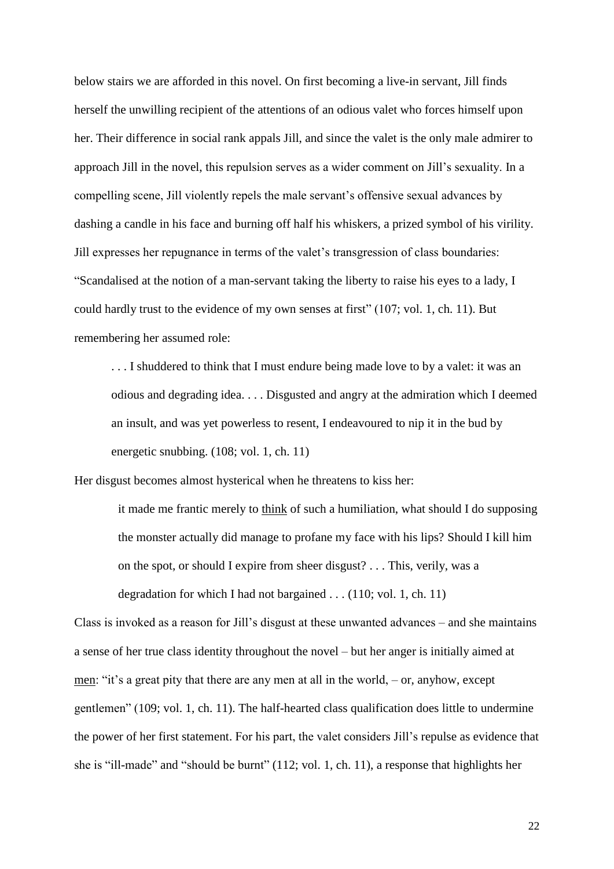below stairs we are afforded in this novel. On first becoming a live-in servant, Jill finds herself the unwilling recipient of the attentions of an odious valet who forces himself upon her. Their difference in social rank appals Jill, and since the valet is the only male admirer to approach Jill in the novel, this repulsion serves as a wider comment on Jill's sexuality. In a compelling scene, Jill violently repels the male servant's offensive sexual advances by dashing a candle in his face and burning off half his whiskers, a prized symbol of his virility. Jill expresses her repugnance in terms of the valet's transgression of class boundaries: "Scandalised at the notion of a man-servant taking the liberty to raise his eyes to a lady, I could hardly trust to the evidence of my own senses at first" (107; vol. 1, ch. 11). But remembering her assumed role:

... I shuddered to think that I must endure being made love to by a valet: it was an odious and degrading idea. . . . Disgusted and angry at the admiration which I deemed an insult, and was yet powerless to resent, I endeavoured to nip it in the bud by energetic snubbing. (108; vol. 1, ch. 11)

Her disgust becomes almost hysterical when he threatens to kiss her:

it made me frantic merely to think of such a humiliation, what should I do supposing the monster actually did manage to profane my face with his lips? Should I kill him on the spot, or should I expire from sheer disgust? . . . This, verily, was a degradation for which I had not bargained . . . (110; vol. 1, ch. 11)

Class is invoked as a reason for Jill's disgust at these unwanted advances – and she maintains a sense of her true class identity throughout the novel – but her anger is initially aimed at men: "it's a great pity that there are any men at all in the world, – or, anyhow, except gentlemen" (109; vol. 1, ch. 11). The half-hearted class qualification does little to undermine the power of her first statement. For his part, the valet considers Jill's repulse as evidence that she is "ill-made" and "should be burnt" (112; vol. 1, ch. 11), a response that highlights her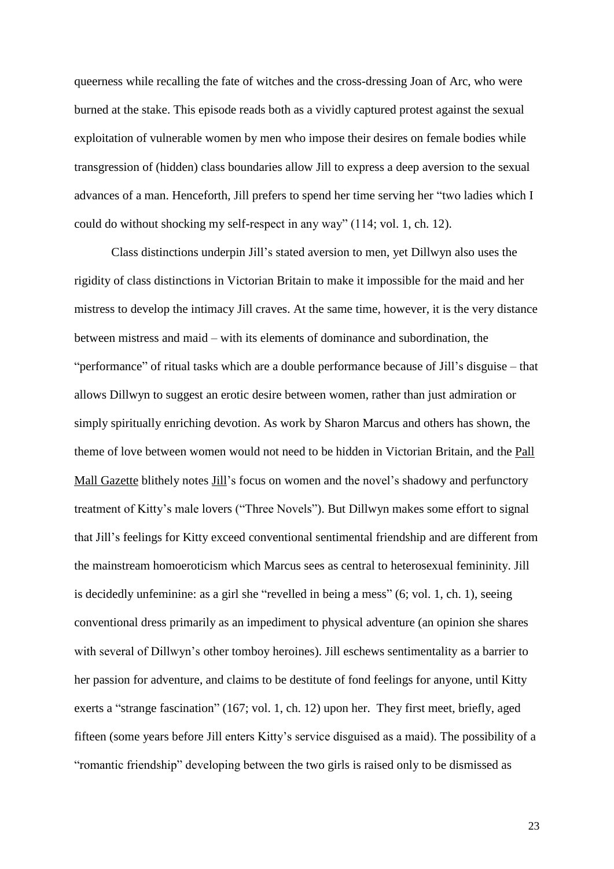queerness while recalling the fate of witches and the cross-dressing Joan of Arc, who were burned at the stake. This episode reads both as a vividly captured protest against the sexual exploitation of vulnerable women by men who impose their desires on female bodies while transgression of (hidden) class boundaries allow Jill to express a deep aversion to the sexual advances of a man. Henceforth, Jill prefers to spend her time serving her "two ladies which I could do without shocking my self-respect in any way" (114; vol. 1, ch. 12).

Class distinctions underpin Jill's stated aversion to men, yet Dillwyn also uses the rigidity of class distinctions in Victorian Britain to make it impossible for the maid and her mistress to develop the intimacy Jill craves. At the same time, however, it is the very distance between mistress and maid – with its elements of dominance and subordination, the "performance" of ritual tasks which are a double performance because of Jill's disguise – that allows Dillwyn to suggest an erotic desire between women, rather than just admiration or simply spiritually enriching devotion. As work by Sharon Marcus and others has shown, the theme of love between women would not need to be hidden in Victorian Britain, and the Pall Mall Gazette blithely notes Jill's focus on women and the novel's shadowy and perfunctory treatment of Kitty's male lovers ("Three Novels"). But Dillwyn makes some effort to signal that Jill's feelings for Kitty exceed conventional sentimental friendship and are different from the mainstream homoeroticism which Marcus sees as central to heterosexual femininity. Jill is decidedly unfeminine: as a girl she "revelled in being a mess" (6; vol. 1, ch. 1), seeing conventional dress primarily as an impediment to physical adventure (an opinion she shares with several of Dillwyn's other tomboy heroines). Jill eschews sentimentality as a barrier to her passion for adventure, and claims to be destitute of fond feelings for anyone, until Kitty exerts a "strange fascination" (167; vol. 1, ch. 12) upon her. They first meet, briefly, aged fifteen (some years before Jill enters Kitty's service disguised as a maid). The possibility of a "romantic friendship" developing between the two girls is raised only to be dismissed as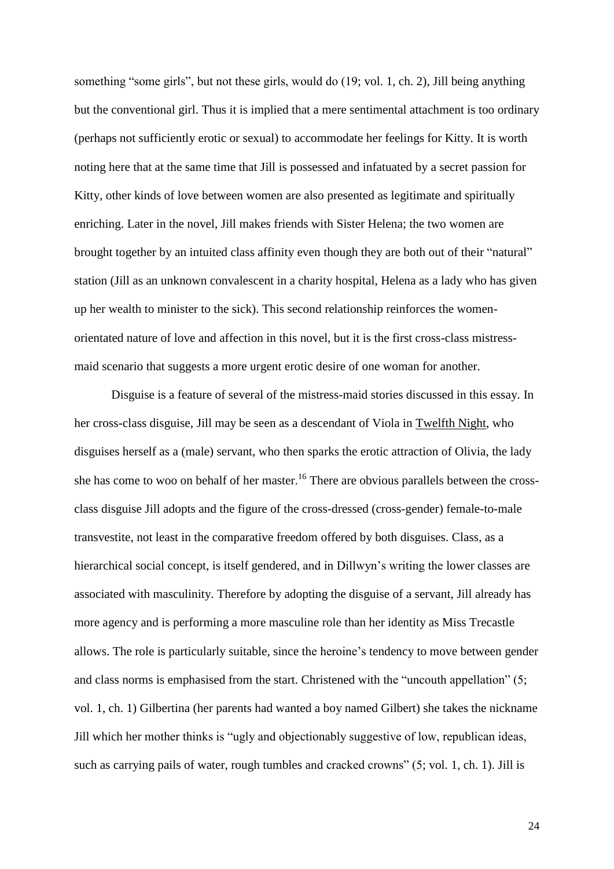something "some girls", but not these girls, would do (19; vol. 1, ch. 2), Jill being anything but the conventional girl. Thus it is implied that a mere sentimental attachment is too ordinary (perhaps not sufficiently erotic or sexual) to accommodate her feelings for Kitty. It is worth noting here that at the same time that Jill is possessed and infatuated by a secret passion for Kitty, other kinds of love between women are also presented as legitimate and spiritually enriching. Later in the novel, Jill makes friends with Sister Helena; the two women are brought together by an intuited class affinity even though they are both out of their "natural" station (Jill as an unknown convalescent in a charity hospital, Helena as a lady who has given up her wealth to minister to the sick). This second relationship reinforces the womenorientated nature of love and affection in this novel, but it is the first cross-class mistressmaid scenario that suggests a more urgent erotic desire of one woman for another.

Disguise is a feature of several of the mistress-maid stories discussed in this essay. In her cross-class disguise, Jill may be seen as a descendant of Viola in Twelfth Night, who disguises herself as a (male) servant, who then sparks the erotic attraction of Olivia, the lady she has come to woo on behalf of her master.<sup>16</sup> There are obvious parallels between the crossclass disguise Jill adopts and the figure of the cross-dressed (cross-gender) female-to-male transvestite, not least in the comparative freedom offered by both disguises. Class, as a hierarchical social concept, is itself gendered, and in Dillwyn's writing the lower classes are associated with masculinity. Therefore by adopting the disguise of a servant, Jill already has more agency and is performing a more masculine role than her identity as Miss Trecastle allows. The role is particularly suitable, since the heroine's tendency to move between gender and class norms is emphasised from the start. Christened with the "uncouth appellation" (5; vol. 1, ch. 1) Gilbertina (her parents had wanted a boy named Gilbert) she takes the nickname Jill which her mother thinks is "ugly and objectionably suggestive of low, republican ideas, such as carrying pails of water, rough tumbles and cracked crowns" (5; vol. 1, ch. 1). Jill is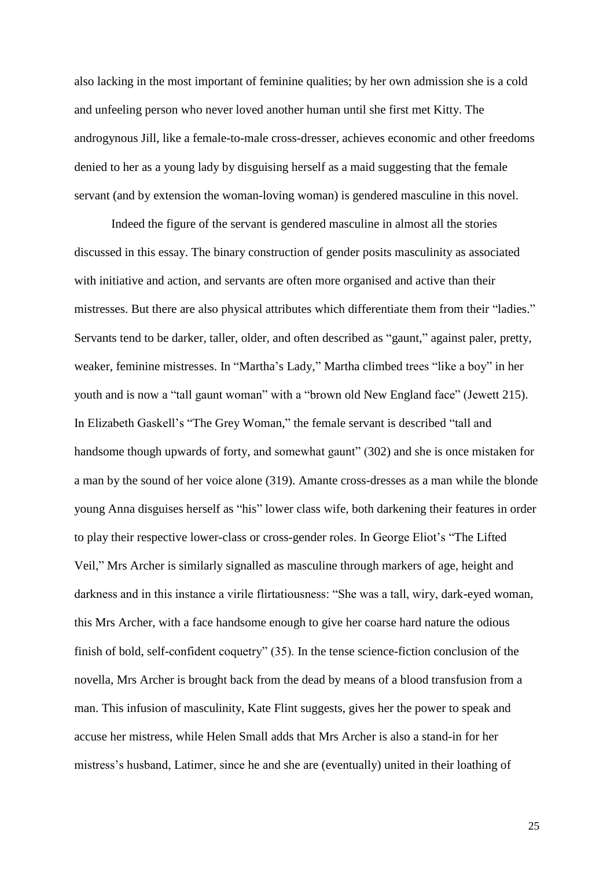also lacking in the most important of feminine qualities; by her own admission she is a cold and unfeeling person who never loved another human until she first met Kitty. The androgynous Jill, like a female-to-male cross-dresser, achieves economic and other freedoms denied to her as a young lady by disguising herself as a maid suggesting that the female servant (and by extension the woman-loving woman) is gendered masculine in this novel.

Indeed the figure of the servant is gendered masculine in almost all the stories discussed in this essay. The binary construction of gender posits masculinity as associated with initiative and action, and servants are often more organised and active than their mistresses. But there are also physical attributes which differentiate them from their "ladies." Servants tend to be darker, taller, older, and often described as "gaunt," against paler, pretty, weaker, feminine mistresses. In "Martha's Lady," Martha climbed trees "like a boy" in her youth and is now a "tall gaunt woman" with a "brown old New England face" (Jewett 215). In Elizabeth Gaskell's "The Grey Woman," the female servant is described "tall and handsome though upwards of forty, and somewhat gaunt" (302) and she is once mistaken for a man by the sound of her voice alone (319). Amante cross-dresses as a man while the blonde young Anna disguises herself as "his" lower class wife, both darkening their features in order to play their respective lower-class or cross-gender roles. In George Eliot's "The Lifted Veil," Mrs Archer is similarly signalled as masculine through markers of age, height and darkness and in this instance a virile flirtatiousness: "She was a tall, wiry, dark-eyed woman, this Mrs Archer, with a face handsome enough to give her coarse hard nature the odious finish of bold, self-confident coquetry" (35). In the tense science-fiction conclusion of the novella, Mrs Archer is brought back from the dead by means of a blood transfusion from a man. This infusion of masculinity, Kate Flint suggests, gives her the power to speak and accuse her mistress, while Helen Small adds that Mrs Archer is also a stand-in for her mistress's husband, Latimer, since he and she are (eventually) united in their loathing of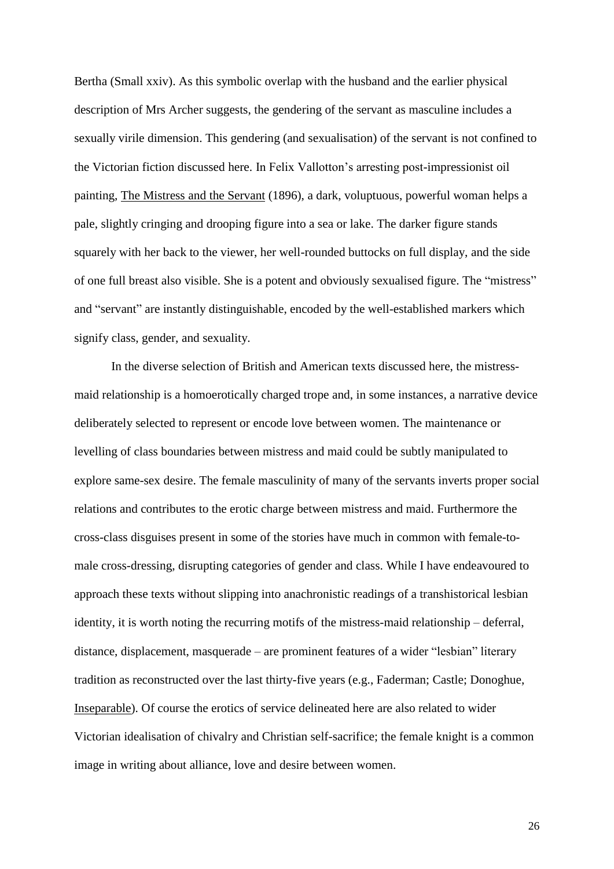Bertha (Small xxiv). As this symbolic overlap with the husband and the earlier physical description of Mrs Archer suggests, the gendering of the servant as masculine includes a sexually virile dimension. This gendering (and sexualisation) of the servant is not confined to the Victorian fiction discussed here. In Felix Vallotton's arresting post-impressionist oil painting, The Mistress and the Servant (1896), a dark, voluptuous, powerful woman helps a pale, slightly cringing and drooping figure into a sea or lake. The darker figure stands squarely with her back to the viewer, her well-rounded buttocks on full display, and the side of one full breast also visible. She is a potent and obviously sexualised figure. The "mistress" and "servant" are instantly distinguishable, encoded by the well-established markers which signify class, gender, and sexuality.

In the diverse selection of British and American texts discussed here, the mistressmaid relationship is a homoerotically charged trope and, in some instances, a narrative device deliberately selected to represent or encode love between women. The maintenance or levelling of class boundaries between mistress and maid could be subtly manipulated to explore same-sex desire. The female masculinity of many of the servants inverts proper social relations and contributes to the erotic charge between mistress and maid. Furthermore the cross-class disguises present in some of the stories have much in common with female-tomale cross-dressing, disrupting categories of gender and class. While I have endeavoured to approach these texts without slipping into anachronistic readings of a transhistorical lesbian identity, it is worth noting the recurring motifs of the mistress-maid relationship – deferral, distance, displacement, masquerade – are prominent features of a wider "lesbian" literary tradition as reconstructed over the last thirty-five years (e.g., Faderman; Castle; Donoghue, Inseparable). Of course the erotics of service delineated here are also related to wider Victorian idealisation of chivalry and Christian self-sacrifice; the female knight is a common image in writing about alliance, love and desire between women.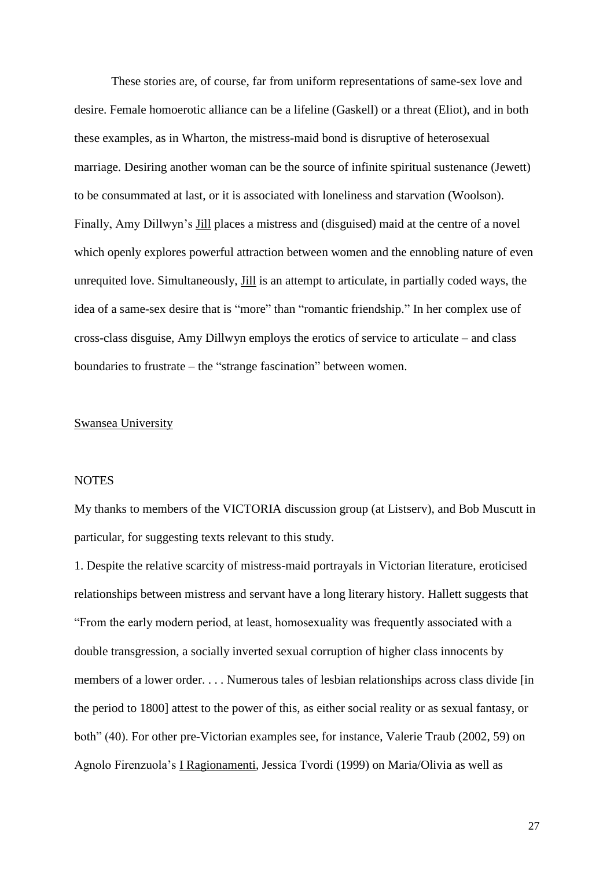These stories are, of course, far from uniform representations of same-sex love and desire. Female homoerotic alliance can be a lifeline (Gaskell) or a threat (Eliot), and in both these examples, as in Wharton, the mistress-maid bond is disruptive of heterosexual marriage. Desiring another woman can be the source of infinite spiritual sustenance (Jewett) to be consummated at last, or it is associated with loneliness and starvation (Woolson). Finally, Amy Dillwyn's Jill places a mistress and (disguised) maid at the centre of a novel which openly explores powerful attraction between women and the ennobling nature of even unrequited love. Simultaneously, Jill is an attempt to articulate, in partially coded ways, the idea of a same-sex desire that is "more" than "romantic friendship." In her complex use of cross-class disguise, Amy Dillwyn employs the erotics of service to articulate – and class boundaries to frustrate – the "strange fascination" between women.

## Swansea University

### **NOTES**

My thanks to members of the VICTORIA discussion group (at Listserv), and Bob Muscutt in particular, for suggesting texts relevant to this study.

1. Despite the relative scarcity of mistress-maid portrayals in Victorian literature, eroticised relationships between mistress and servant have a long literary history. Hallett suggests that "From the early modern period, at least, homosexuality was frequently associated with a double transgression, a socially inverted sexual corruption of higher class innocents by members of a lower order. . . . Numerous tales of lesbian relationships across class divide [in the period to 1800] attest to the power of this, as either social reality or as sexual fantasy, or both" (40). For other pre-Victorian examples see, for instance, Valerie Traub (2002, 59) on Agnolo Firenzuola's I Ragionamenti, Jessica Tvordi (1999) on Maria/Olivia as well as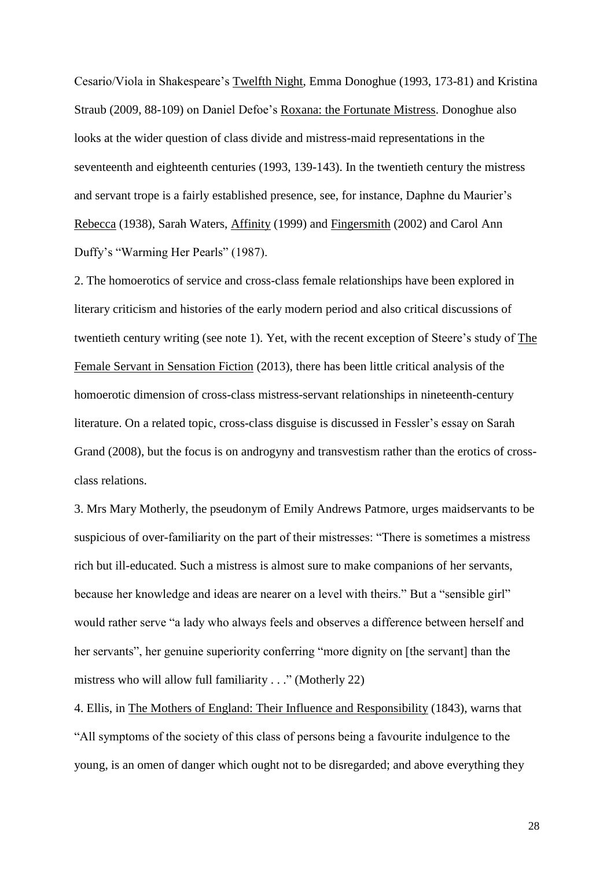Cesario/Viola in Shakespeare's Twelfth Night, Emma Donoghue (1993, 173-81) and Kristina Straub (2009, 88-109) on Daniel Defoe's Roxana: the Fortunate Mistress. Donoghue also looks at the wider question of class divide and mistress-maid representations in the seventeenth and eighteenth centuries (1993, 139-143). In the twentieth century the mistress and servant trope is a fairly established presence, see, for instance, Daphne du Maurier's Rebecca (1938), Sarah Waters, Affinity (1999) and Fingersmith (2002) and Carol Ann Duffy's "Warming Her Pearls" (1987).

2. The homoerotics of service and cross-class female relationships have been explored in literary criticism and histories of the early modern period and also critical discussions of twentieth century writing (see note 1). Yet, with the recent exception of Steere's study of The Female Servant in Sensation Fiction (2013), there has been little critical analysis of the homoerotic dimension of cross-class mistress-servant relationships in nineteenth-century literature. On a related topic, cross-class disguise is discussed in Fessler's essay on Sarah Grand (2008), but the focus is on androgyny and transvestism rather than the erotics of crossclass relations.

3. Mrs Mary Motherly, the pseudonym of Emily Andrews Patmore, urges maidservants to be suspicious of over-familiarity on the part of their mistresses: "There is sometimes a mistress rich but ill-educated. Such a mistress is almost sure to make companions of her servants, because her knowledge and ideas are nearer on a level with theirs." But a "sensible girl" would rather serve "a lady who always feels and observes a difference between herself and her servants", her genuine superiority conferring "more dignity on [the servant] than the mistress who will allow full familiarity . . ." (Motherly 22)

4. Ellis, in The Mothers of England: Their Influence and Responsibility (1843), warns that "All symptoms of the society of this class of persons being a favourite indulgence to the young, is an omen of danger which ought not to be disregarded; and above everything they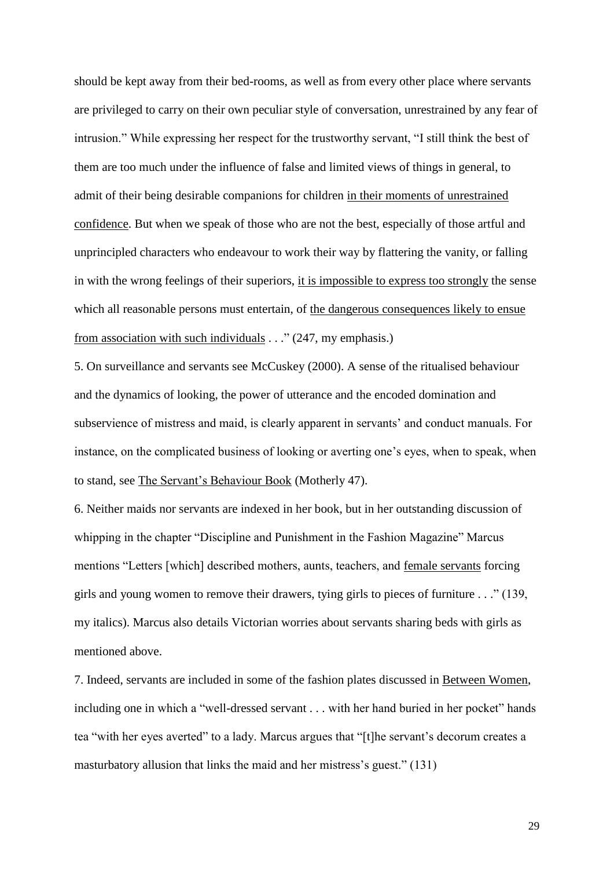should be kept away from their bed-rooms, as well as from every other place where servants are privileged to carry on their own peculiar style of conversation, unrestrained by any fear of intrusion." While expressing her respect for the trustworthy servant, "I still think the best of them are too much under the influence of false and limited views of things in general, to admit of their being desirable companions for children in their moments of unrestrained confidence. But when we speak of those who are not the best, especially of those artful and unprincipled characters who endeavour to work their way by flattering the vanity, or falling in with the wrong feelings of their superiors, it is impossible to express too strongly the sense which all reasonable persons must entertain, of the dangerous consequences likely to ensue from association with such individuals . . ." (247, my emphasis.)

5. On surveillance and servants see McCuskey (2000). A sense of the ritualised behaviour and the dynamics of looking, the power of utterance and the encoded domination and subservience of mistress and maid, is clearly apparent in servants' and conduct manuals. For instance, on the complicated business of looking or averting one's eyes, when to speak, when to stand, see The Servant's Behaviour Book (Motherly 47).

6. Neither maids nor servants are indexed in her book, but in her outstanding discussion of whipping in the chapter "Discipline and Punishment in the Fashion Magazine" Marcus mentions "Letters [which] described mothers, aunts, teachers, and female servants forcing girls and young women to remove their drawers, tying girls to pieces of furniture . . ." (139, my italics). Marcus also details Victorian worries about servants sharing beds with girls as mentioned above.

7. Indeed, servants are included in some of the fashion plates discussed in Between Women, including one in which a "well-dressed servant . . . with her hand buried in her pocket" hands tea "with her eyes averted" to a lady. Marcus argues that "[t]he servant's decorum creates a masturbatory allusion that links the maid and her mistress's guest." (131)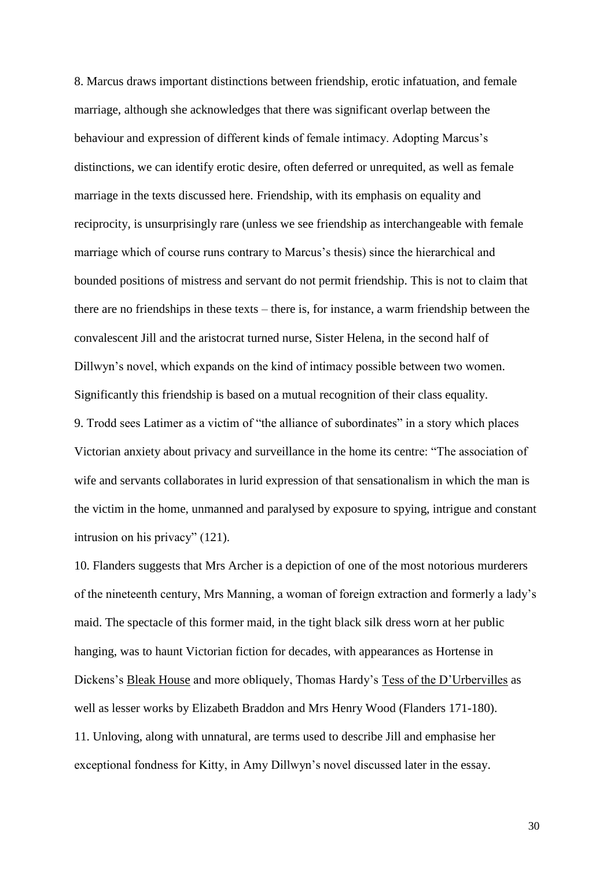8. Marcus draws important distinctions between friendship, erotic infatuation, and female marriage, although she acknowledges that there was significant overlap between the behaviour and expression of different kinds of female intimacy. Adopting Marcus's distinctions, we can identify erotic desire, often deferred or unrequited, as well as female marriage in the texts discussed here. Friendship, with its emphasis on equality and reciprocity, is unsurprisingly rare (unless we see friendship as interchangeable with female marriage which of course runs contrary to Marcus's thesis) since the hierarchical and bounded positions of mistress and servant do not permit friendship. This is not to claim that there are no friendships in these texts – there is, for instance, a warm friendship between the convalescent Jill and the aristocrat turned nurse, Sister Helena, in the second half of Dillwyn's novel, which expands on the kind of intimacy possible between two women. Significantly this friendship is based on a mutual recognition of their class equality. 9. Trodd sees Latimer as a victim of "the alliance of subordinates" in a story which places Victorian anxiety about privacy and surveillance in the home its centre: "The association of wife and servants collaborates in lurid expression of that sensationalism in which the man is the victim in the home, unmanned and paralysed by exposure to spying, intrigue and constant intrusion on his privacy" (121).

10. Flanders suggests that Mrs Archer is a depiction of one of the most notorious murderers of the nineteenth century, Mrs Manning, a woman of foreign extraction and formerly a lady's maid. The spectacle of this former maid, in the tight black silk dress worn at her public hanging, was to haunt Victorian fiction for decades, with appearances as Hortense in Dickens's Bleak House and more obliquely, Thomas Hardy's Tess of the D'Urbervilles as well as lesser works by Elizabeth Braddon and Mrs Henry Wood (Flanders 171-180). 11. Unloving, along with unnatural, are terms used to describe Jill and emphasise her exceptional fondness for Kitty, in Amy Dillwyn's novel discussed later in the essay.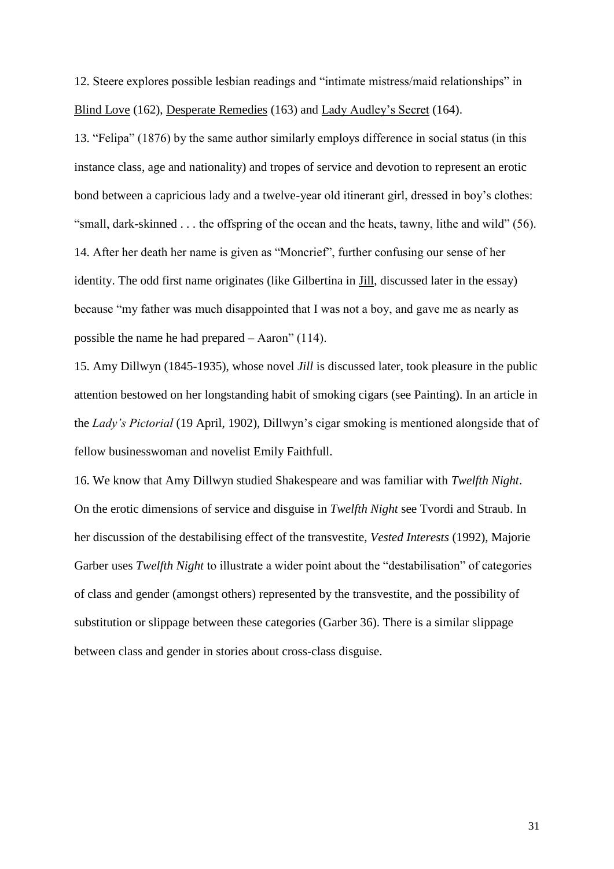12. Steere explores possible lesbian readings and "intimate mistress/maid relationships" in Blind Love (162), Desperate Remedies (163) and Lady Audley's Secret (164).

13. "Felipa" (1876) by the same author similarly employs difference in social status (in this instance class, age and nationality) and tropes of service and devotion to represent an erotic bond between a capricious lady and a twelve-year old itinerant girl, dressed in boy's clothes: "small, dark-skinned . . . the offspring of the ocean and the heats, tawny, lithe and wild" (56). 14. After her death her name is given as "Moncrief", further confusing our sense of her identity. The odd first name originates (like Gilbertina in Jill, discussed later in the essay) because "my father was much disappointed that I was not a boy, and gave me as nearly as possible the name he had prepared – Aaron" (114).

15. Amy Dillwyn (1845-1935), whose novel *Jill* is discussed later, took pleasure in the public attention bestowed on her longstanding habit of smoking cigars (see Painting). In an article in the *Lady's Pictorial* (19 April, 1902), Dillwyn's cigar smoking is mentioned alongside that of fellow businesswoman and novelist Emily Faithfull.

16. We know that Amy Dillwyn studied Shakespeare and was familiar with *Twelfth Night*. On the erotic dimensions of service and disguise in *Twelfth Night* see Tvordi and Straub. In her discussion of the destabilising effect of the transvestite, *Vested Interests* (1992), Majorie Garber uses *Twelfth Night* to illustrate a wider point about the "destabilisation" of categories of class and gender (amongst others) represented by the transvestite, and the possibility of substitution or slippage between these categories (Garber 36). There is a similar slippage between class and gender in stories about cross-class disguise.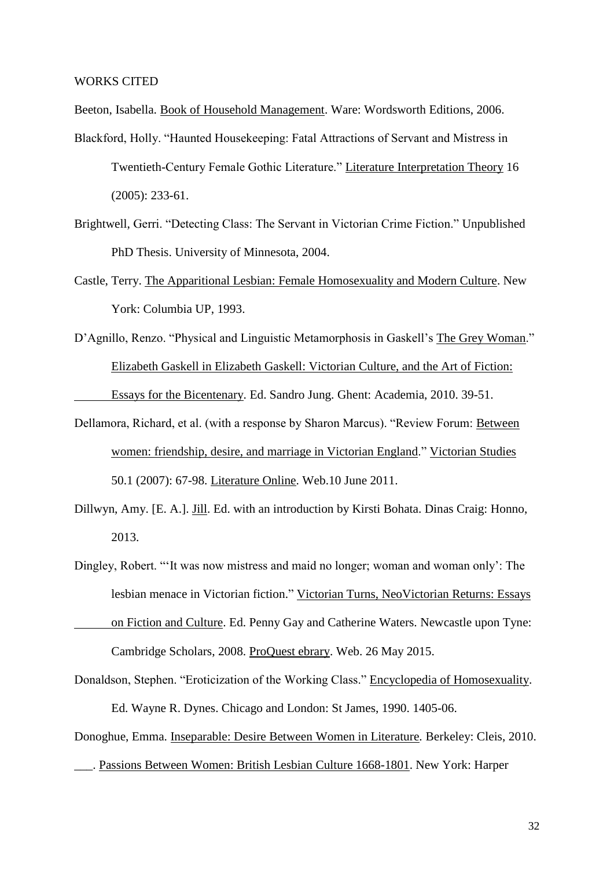WORKS CITED

Beeton, Isabella. Book of Household Management. Ware: Wordsworth Editions, 2006.

- Blackford, Holly. "Haunted Housekeeping: Fatal Attractions of Servant and Mistress in Twentieth-Century Female Gothic Literature." Literature Interpretation Theory 16 (2005): 233-61.
- Brightwell, Gerri. "Detecting Class: The Servant in Victorian Crime Fiction." Unpublished PhD Thesis. University of Minnesota, 2004.
- Castle, Terry. The Apparitional Lesbian: Female Homosexuality and Modern Culture. New York: Columbia UP, 1993.
- D'Agnillo, Renzo. "Physical and Linguistic Metamorphosis in Gaskell's The Grey Woman." Elizabeth Gaskell in Elizabeth Gaskell: Victorian Culture, and the Art of Fiction: Essays for the Bicentenary. Ed. Sandro Jung. Ghent: Academia, 2010. 39-51.
- Dellamora, Richard, et al. (with a response by Sharon Marcus). "Review Forum: Between women: friendship, desire, and marriage in Victorian England." Victorian Studies 50.1 (2007): 67-98. Literature Online. Web.10 June 2011.
- Dillwyn, Amy. [E. A.]. Jill. Ed. with an introduction by Kirsti Bohata. Dinas Craig: Honno, 2013.
- Dingley, Robert. "'It was now mistress and maid no longer; woman and woman only': The lesbian menace in Victorian fiction." Victorian Turns, NeoVictorian Returns: Essays on Fiction and Culture. Ed. Penny Gay and Catherine Waters. Newcastle upon Tyne: Cambridge Scholars, 2008. ProQuest ebrary. Web. 26 May 2015.
- Donaldson, Stephen. "Eroticization of the Working Class." Encyclopedia of Homosexuality. Ed. Wayne R. Dynes. Chicago and London: St James, 1990. 1405-06.
- Donoghue, Emma. Inseparable: Desire Between Women in Literature*.* Berkeley: Cleis, 2010.

\_\_\_. Passions Between Women: British Lesbian Culture 1668-1801. New York: Harper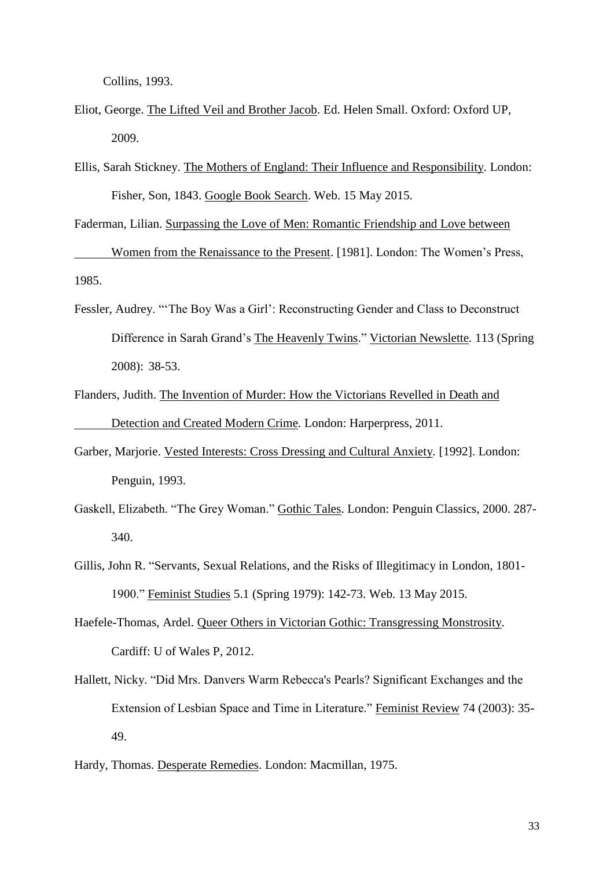Collins, 1993.

- Eliot, George. The Lifted Veil and Brother Jacob. Ed. Helen Small. Oxford: Oxford UP, 2009.
- Ellis, Sarah Stickney. The Mothers of England: Their Influence and Responsibility. London: Fisher, Son, 1843. Google Book Search. Web. 15 May 2015.

Faderman, Lilian. Surpassing the Love of Men: Romantic Friendship and Love between Women from the Renaissance to the Present. [1981]. London: The Women's Press, 1985.

- Fessler, Audrey. "'The Boy Was a Girl': Reconstructing Gender and Class to Deconstruct Difference in Sarah Grand's The Heavenly Twins." Victorian Newslette*.* 113 (Spring 2008): 38-53.
- Flanders, Judith. The Invention of Murder: How the Victorians Revelled in Death and Detection and Created Modern Crime*.* London: Harperpress, 2011.
- Garber, Marjorie. Vested Interests: Cross Dressing and Cultural Anxiety*.* [1992]. London: Penguin, 1993.
- Gaskell, Elizabeth. "The Grey Woman." Gothic Tales. London: Penguin Classics, 2000. 287- 340.
- Gillis, John R. "Servants, Sexual Relations, and the Risks of Illegitimacy in London, 1801- 1900." Feminist Studies 5.1 (Spring 1979): 142-73. Web. 13 May 2015.
- Haefele-Thomas, Ardel. Queer Others in Victorian Gothic: Transgressing Monstrosity. Cardiff: U of Wales P, 2012.
- Hallett, Nicky. "Did Mrs. Danvers Warm Rebecca's Pearls? Significant Exchanges and the Extension of Lesbian Space and Time in Literature." Feminist Review 74 (2003): 35- 49.
- Hardy, Thomas. Desperate Remedies. London: Macmillan, 1975.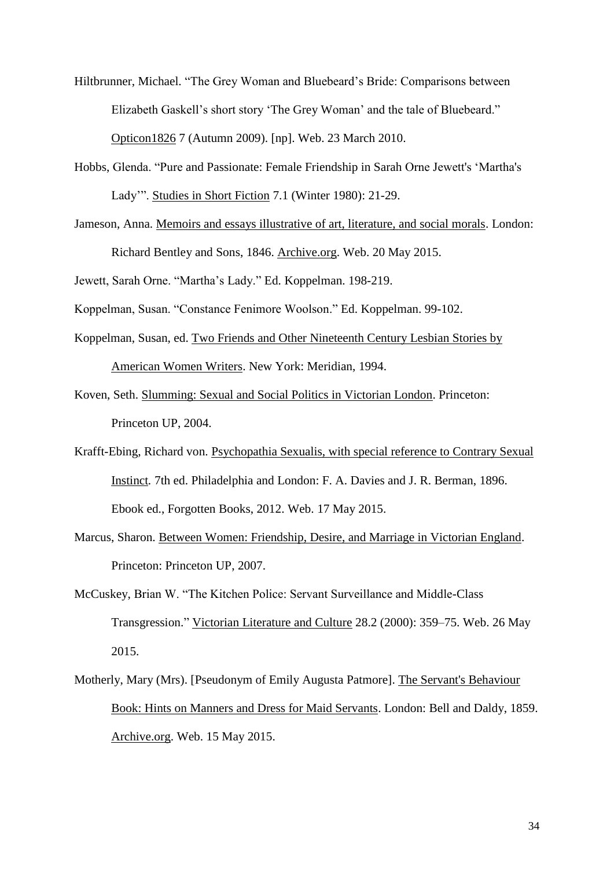- Hiltbrunner, Michael. "The Grey Woman and Bluebeard's Bride: Comparisons between Elizabeth Gaskell's short story 'The Grey Woman' and the tale of Bluebeard." Opticon1826 7 (Autumn 2009). [np]. Web. 23 March 2010.
- Hobbs, Glenda. "Pure and Passionate: Female Friendship in Sarah Orne Jewett's 'Martha's Lady'". Studies in Short Fiction 7.1 (Winter 1980): 21-29.
- Jameson, Anna. Memoirs and essays illustrative of art, literature, and social morals. London: Richard Bentley and Sons, 1846. Archive.org. Web. 20 May 2015.

Jewett, Sarah Orne. "Martha's Lady." Ed. Koppelman. 198-219.

Koppelman, Susan. "Constance Fenimore Woolson." Ed. Koppelman. 99-102.

- Koppelman, Susan, ed. Two Friends and Other Nineteenth Century Lesbian Stories by American Women Writers. New York: Meridian, 1994.
- Koven, Seth. Slumming: Sexual and Social Politics in Victorian London. Princeton: Princeton UP, 2004.
- Krafft-Ebing, Richard von. Psychopathia Sexualis, with special reference to Contrary Sexual Instinct*.* 7th ed. Philadelphia and London: F. A. Davies and J. R. Berman, 1896. Ebook ed., Forgotten Books, 2012. Web. 17 May 2015.
- Marcus, Sharon. Between Women: Friendship, Desire, and Marriage in Victorian England. Princeton: Princeton UP, 2007.
- McCuskey, Brian W. "The Kitchen Police: Servant Surveillance and Middle-Class Transgression." Victorian Literature and Culture 28.2 (2000): 359–75. Web. 26 May 2015.
- Motherly, Mary (Mrs). [Pseudonym of Emily Augusta Patmore]. The Servant's Behaviour Book: Hints on Manners and Dress for Maid Servants. London: Bell and Daldy, 1859. Archive.org. Web. 15 May 2015.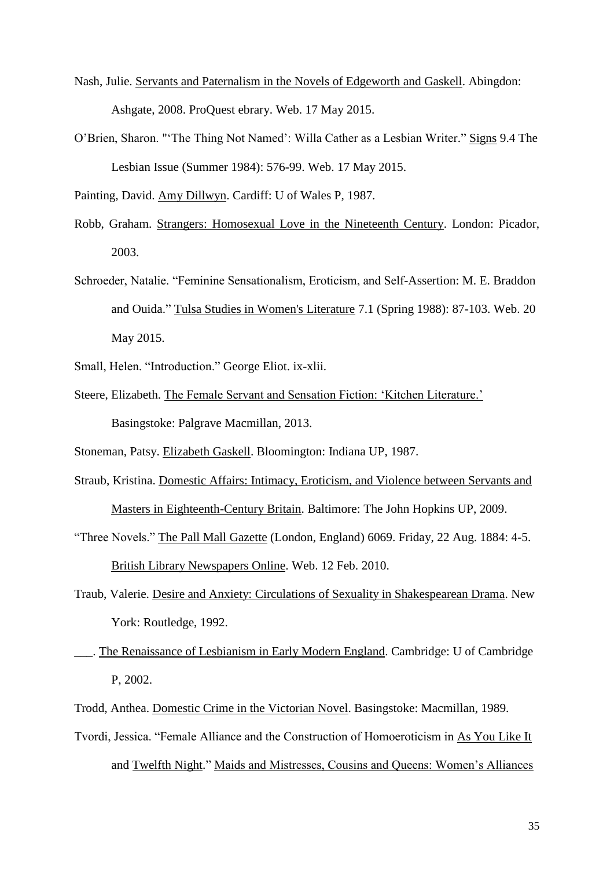- Nash, Julie. Servants and Paternalism in the Novels of Edgeworth and Gaskell. Abingdon: Ashgate, 2008. ProQuest ebrary. Web. 17 May 2015.
- O'Brien, Sharon. "'The Thing Not Named': Willa Cather as a Lesbian Writer." Signs 9.4 The Lesbian Issue (Summer 1984): 576-99. Web. 17 May 2015.

Painting, David. Amy Dillwyn. Cardiff: U of Wales P, 1987.

- Robb, Graham. Strangers: Homosexual Love in the Nineteenth Century. London: Picador, 2003.
- Schroeder, Natalie. "Feminine Sensationalism, Eroticism, and Self-Assertion: M. E. Braddon and Ouida." Tulsa Studies in Women's Literature 7.1 (Spring 1988): 87-103. Web. 20 May 2015.
- Small, Helen. "Introduction." George Eliot. ix-xlii.
- Steere, Elizabeth. The Female Servant and Sensation Fiction: 'Kitchen Literature.' Basingstoke: Palgrave Macmillan, 2013.

Stoneman, Patsy. Elizabeth Gaskell. Bloomington: Indiana UP, 1987.

- Straub, Kristina. Domestic Affairs: Intimacy, Eroticism, and Violence between Servants and Masters in Eighteenth-Century Britain. Baltimore: The John Hopkins UP, 2009.
- "Three Novels." The Pall Mall Gazette (London, England) 6069. Friday, 22 Aug. 1884: 4-5. British Library Newspapers Online. Web. 12 Feb. 2010.
- Traub, Valerie. Desire and Anxiety: Circulations of Sexuality in Shakespearean Drama. New York: Routledge, 1992.
- \_\_\_. The Renaissance of Lesbianism in Early Modern England. Cambridge: U of Cambridge P, 2002.
- Trodd, Anthea. Domestic Crime in the Victorian Novel. Basingstoke: Macmillan, 1989.
- Tvordi, Jessica. "Female Alliance and the Construction of Homoeroticism in As You Like It and Twelfth Night." Maids and Mistresses, Cousins and Queens: Women's Alliances